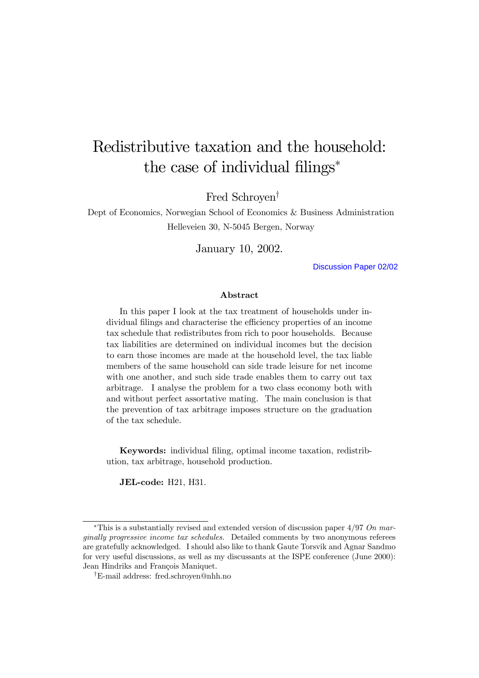# Redistributive taxation and the household: the case of individual filings<sup>∗</sup>

Fred Schroyen†

Dept of Economics, Norwegian School of Economics & Business Administration Helleveien 30, N-5045 Bergen, Norway

January 10, 2002.

Discussion Paper 02/02

#### Abstract

In this paper I look at the tax treatment of households under individual filings and characterise the efficiency properties of an income tax schedule that redistributes from rich to poor households. Because tax liabilities are determined on individual incomes but the decision to earn those incomes are made at the household level, the tax liable members of the same household can side trade leisure for net income with one another, and such side trade enables them to carry out tax arbitrage. I analyse the problem for a two class economy both with and without perfect assortative mating. The main conclusion is that the prevention of tax arbitrage imposes structure on the graduation of the tax schedule.

Keywords: individual filing, optimal income taxation, redistribution, tax arbitrage, household production.

JEL-code: H21, H31.

<sup>\*</sup>This is a substantially revised and extended version of discussion paper  $4/97$  On marginally progressive income tax schedules. Detailed comments by two anonymous referees are gratefully acknowledged. I should also like to thank Gaute Torsvik and Agnar Sandmo for very useful discussions, as well as my discussants at the ISPE conference (June 2000): Jean Hindriks and François Maniquet.

<sup>†</sup>E-mail address: fred.schroyen@nhh.no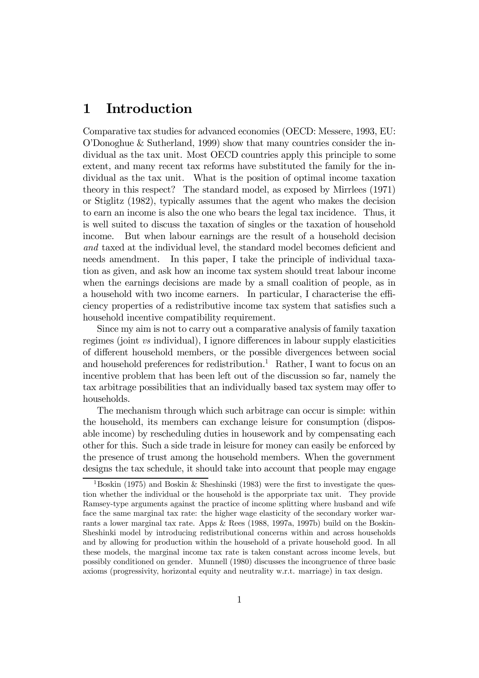### 1 Introduction

Comparative tax studies for advanced economies (OECD: Messere, 1993, EU: O'Donoghue & Sutherland, 1999) show that many countries consider the individual as the tax unit. Most OECD countries apply this principle to some extent, and many recent tax reforms have substituted the family for the individual as the tax unit. What is the position of optimal income taxation theory in this respect? The standard model, as exposed by Mirrlees (1971) or Stiglitz (1982), typically assumes that the agent who makes the decision to earn an income is also the one who bears the legal tax incidence. Thus, it is well suited to discuss the taxation of singles or the taxation of household income. But when labour earnings are the result of a household decision and taxed at the individual level, the standard model becomes deficient and needs amendment. In this paper, I take the principle of individual taxation as given, and ask how an income tax system should treat labour income when the earnings decisions are made by a small coalition of people, as in a household with two income earners. In particular, I characterise the efficiency properties of a redistributive income tax system that satisfies such a household incentive compatibility requirement.

Since my aim is not to carry out a comparative analysis of family taxation regimes (joint vs individual), I ignore differences in labour supply elasticities of different household members, or the possible divergences between social and household preferences for redistribution.<sup>1</sup> Rather, I want to focus on an incentive problem that has been left out of the discussion so far, namely the tax arbitrage possibilities that an individually based tax system may offer to households.

The mechanism through which such arbitrage can occur is simple: within the household, its members can exchange leisure for consumption (disposable income) by rescheduling duties in housework and by compensating each other for this. Such a side trade in leisure for money can easily be enforced by the presence of trust among the household members. When the government designs the tax schedule, it should take into account that people may engage

<sup>&</sup>lt;sup>1</sup>Boskin (1975) and Boskin & Sheshinski (1983) were the first to investigate the question whether the individual or the household is the apporpriate tax unit. They provide Ramsey-type arguments against the practice of income splitting where husband and wife face the same marginal tax rate: the higher wage elasticity of the secondary worker warrants a lower marginal tax rate. Apps & Rees (1988, 1997a, 1997b) build on the Boskin-Sheshinki model by introducing redistributional concerns within and across households and by allowing for production within the household of a private household good. In all these models, the marginal income tax rate is taken constant across income levels, but possibly conditioned on gender. Munnell (1980) discusses the incongruence of three basic axioms (progressivity, horizontal equity and neutrality w.r.t. marriage) in tax design.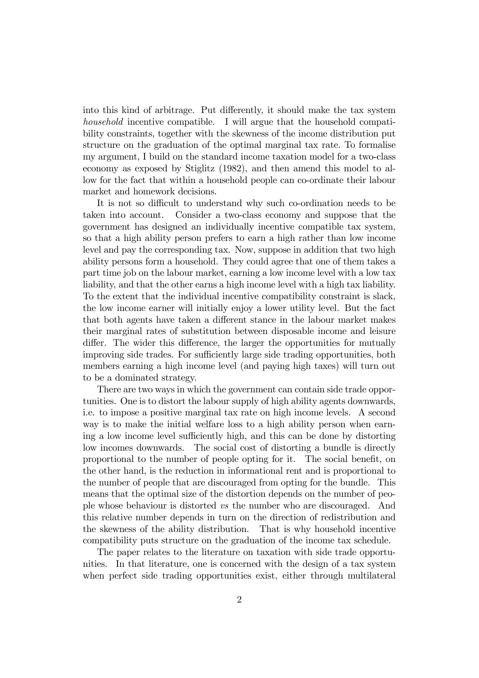into this kind of arbitrage. Put differently, it should make the tax system household incentive compatible. I will argue that the household compatibility constraints, together with the skewness of the income distribution put structure on the graduation of the optimal marginal tax rate. To formalise my argument, I build on the standard income taxation model for a two-class economy as exposed by Stiglitz (1982), and then amend this model to allow for the fact that within a household people can co-ordinate their labour market and homework decisions.

It is not so difficult to understand why such co-ordination needs to be taken into account. Consider a two-class economy and suppose that the government has designed an individually incentive compatible tax system, so that a high ability person prefers to earn a high rather than low income level and pay the corresponding tax. Now, suppose in addition that two high ability persons form a household. They could agree that one of them takes a part time job on the labour market, earning a low income level with a low tax liability, and that the other earns a high income level with a high tax liability. To the extent that the individual incentive compatibility constraint is slack, the low income earner will initially enjoy a lower utility level. But the fact that both agents have taken a different stance in the labour market makes their marginal rates of substitution between disposable income and leisure differ. The wider this difference, the larger the opportunities for mutually improving side trades. For sufficiently large side trading opportunities, both members earning a high income level (and paying high taxes) will turn out to be a dominated strategy.

There are two ways in which the government can contain side trade opportunities. One is to distort the labour supply of high ability agents downwards, i.e. to impose a positive marginal tax rate on high income levels. A second way is to make the initial welfare loss to a high ability person when earning a low income level sufficiently high, and this can be done by distorting low incomes downwards. The social cost of distorting a bundle is directly proportional to the number of people opting for it. The social benefit, on the other hand, is the reduction in informational rent and is proportional to the number of people that are discouraged from opting for the bundle. This means that the optimal size of the distortion depends on the number of people whose behaviour is distorted vs the number who are discouraged. And this relative number depends in turn on the direction of redistribution and the skewness of the ability distribution. That is why household incentive compatibility puts structure on the graduation of the income tax schedule.

The paper relates to the literature on taxation with side trade opportunities. In that literature, one is concerned with the design of a tax system when perfect side trading opportunities exist, either through multilateral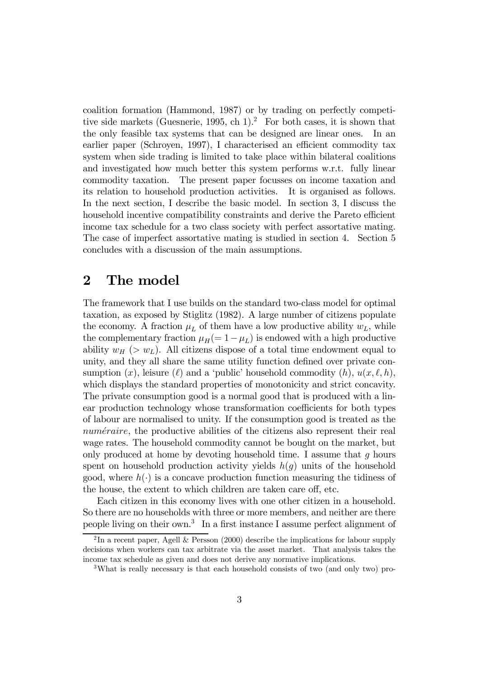coalition formation (Hammond, 1987) or by trading on perfectly competitive side markets (Guesnerie, 1995, ch 1).<sup>2</sup> For both cases, it is shown that the only feasible tax systems that can be designed are linear ones. In an earlier paper (Schroyen, 1997), I characterised an efficient commodity tax system when side trading is limited to take place within bilateral coalitions and investigated how much better this system performs w.r.t. fully linear commodity taxation. The present paper focusses on income taxation and its relation to household production activities. It is organised as follows. In the next section, I describe the basic model. In section 3, I discuss the household incentive compatibility constraints and derive the Pareto efficient income tax schedule for a two class society with perfect assortative mating. The case of imperfect assortative mating is studied in section 4. Section 5 concludes with a discussion of the main assumptions.

### 2 The model

The framework that I use builds on the standard two-class model for optimal taxation, as exposed by Stiglitz (1982). A large number of citizens populate the economy. A fraction  $\mu_L$  of them have a low productive ability  $w_L$ , while the complementary fraction  $\mu_H(= 1 - \mu_L)$  is endowed with a high productive ability  $w_H$  ( $>w_L$ ). All citizens dispose of a total time endowment equal to unity, and they all share the same utility function defined over private consumption  $(x)$ , leisure  $(\ell)$  and a 'public' household commodity  $(h)$ ,  $u(x, \ell, h)$ , which displays the standard properties of monotonicity and strict concavity. The private consumption good is a normal good that is produced with a linear production technology whose transformation coefficients for both types of labour are normalised to unity. If the consumption good is treated as the numéraire, the productive abilities of the citizens also represent their real wage rates. The household commodity cannot be bought on the market, but only produced at home by devoting household time. I assume that  $g$  hours spent on household production activity yields  $h(q)$  units of the household good, where  $h(\cdot)$  is a concave production function measuring the tidiness of the house, the extent to which children are taken care off, etc.

Each citizen in this economy lives with one other citizen in a household. So there are no households with three or more members, and neither are there people living on their own.<sup>3</sup> In a first instance I assume perfect alignment of

<sup>&</sup>lt;sup>2</sup>In a recent paper, Agell & Persson (2000) describe the implications for labour supply decisions when workers can tax arbitrate via the asset market. That analysis takes the income tax schedule as given and does not derive any normative implications.

<sup>3</sup>What is really necessary is that each household consists of two (and only two) pro-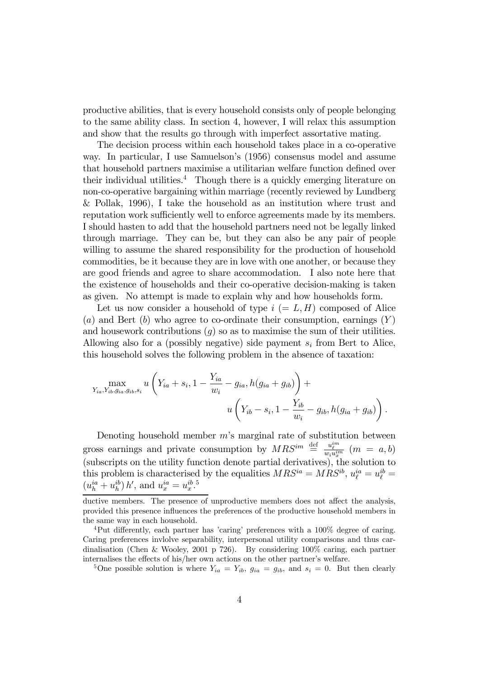productive abilities, that is every household consists only of people belonging to the same ability class. In section 4, however, I will relax this assumption and show that the results go through with imperfect assortative mating.

The decision process within each household takes place in a co-operative way. In particular, I use Samuelson's (1956) consensus model and assume that household partners maximise a utilitarian welfare function defined over their individual utilities.<sup>4</sup> Though there is a quickly emerging literature on non-co-operative bargaining within marriage (recently reviewed by Lundberg & Pollak, 1996), I take the household as an institution where trust and reputation work sufficiently well to enforce agreements made by its members. I should hasten to add that the household partners need not be legally linked through marriage. They can be, but they can also be any pair of people willing to assume the shared responsibility for the production of household commodities, be it because they are in love with one another, or because they are good friends and agree to share accommodation. I also note here that the existence of households and their co-operative decision-making is taken as given. No attempt is made to explain why and how households form.

Let us now consider a household of type  $i (= L, H)$  composed of Alice (a) and Bert (b) who agree to co-ordinate their consumption, earnings  $(Y)$ and housework contributions  $(q)$  so as to maximise the sum of their utilities. Allowing also for a (possibly negative) side payment  $s_i$  from Bert to Alice, this household solves the following problem in the absence of taxation:

$$
\max_{Y_{ia}, Y_{ib}, g_{ia}, g_{ib}, s_i} u\left(Y_{ia} + s_i, 1 - \frac{Y_{ia}}{w_i} - g_{ia}, h(g_{ia} + g_{ib})\right) + u\left(Y_{ib} - s_i, 1 - \frac{Y_{ib}}{w_i} - g_{ib}, h(g_{ia} + g_{ib})\right).
$$

Denoting household member  $m$ 's marginal rate of substitution between gross earnings and private consumption by  $MRS^{im} \stackrel{\text{def}}{=} \frac{u_{\ell}^{im}}{w_i u_x^{im}}$   $(m = a, b)$ (subscripts on the utility function denote partial derivatives), the solution to this problem is characterised by the equalities  $MRS^{ia} = MRS^{ib}$ ,  $u_{\ell}^{ia} = u_{\ell}^{ib} =$  $(u_h^{ia} + u_h^{ib}) h'$ , and  $u_x^{ia} = u_x^{ib}$ .<sup>5</sup>

ductive members. The presence of unproductive members does not affect the analysis, provided this presence influences the preferences of the productive household members in the same way in each household.

<sup>4</sup>Put differently, each partner has 'caring' preferences with a 100% degree of caring. Caring preferences invlolve separability, interpersonal utility comparisons and thus cardinalisation (Chen & Wooley, 2001 p 726). By considering 100% caring, each partner internalises the effects of his/her own actions on the other partner's welfare.

<sup>&</sup>lt;sup>5</sup>One possible solution is where  $Y_{ia} = Y_{ib}$ ,  $g_{ia} = g_{ib}$ , and  $s_i = 0$ . But then clearly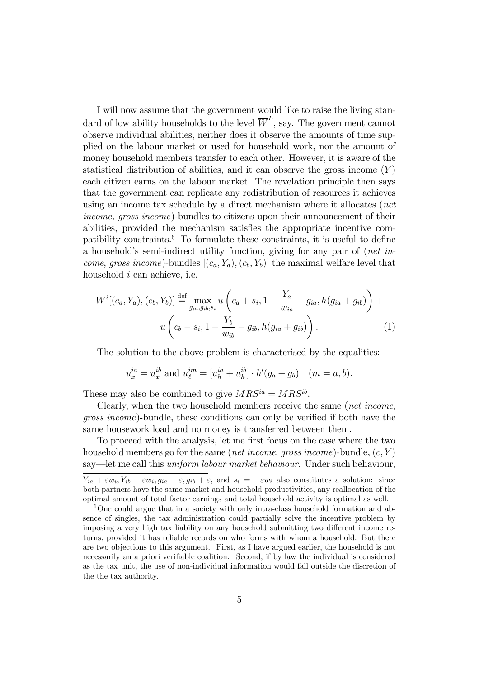I will now assume that the government would like to raise the living standard of low ability households to the level  $\overline{W}^L$ , say. The government cannot observe individual abilities, neither does it observe the amounts of time supplied on the labour market or used for household work, nor the amount of money household members transfer to each other. However, it is aware of the statistical distribution of abilities, and it can observe the gross income  $(Y)$ each citizen earns on the labour market. The revelation principle then says that the government can replicate any redistribution of resources it achieves using an income tax schedule by a direct mechanism where it allocates (net income, gross income)-bundles to citizens upon their announcement of their abilities, provided the mechanism satisfies the appropriate incentive compatibility constraints.6 To formulate these constraints, it is useful to define a household's semi-indirect utility function, giving for any pair of (net income, gross income)-bundles  $[(c_a, Y_a), (c_b, Y_b)]$  the maximal welfare level that household i can achieve, i.e.

$$
W^{i}[(c_{a}, Y_{a}), (c_{b}, Y_{b})] \stackrel{\text{def}}{=} \max_{g_{ia}, g_{ib}, s_{i}} u\left(c_{a} + s_{i}, 1 - \frac{Y_{a}}{w_{ia}} - g_{ia}, h(g_{ia} + g_{ib})\right) + u\left(c_{b} - s_{i}, 1 - \frac{Y_{b}}{w_{ib}} - g_{ib}, h(g_{ia} + g_{ib})\right).
$$
 (1)

The solution to the above problem is characterised by the equalities:

$$
u_x^{ia} = u_x^{ib}
$$
 and  $u_\ell^{im} = [u_h^{ia} + u_h^{ib}] \cdot h'(g_a + g_b)$   $(m = a, b)$ .

These may also be combined to give  $MRS^{ia} = MRS^{ib}$ .

Clearly, when the two household members receive the same (net income, gross income)-bundle, these conditions can only be verified if both have the same housework load and no money is transferred between them.

To proceed with the analysis, let me first focus on the case where the two household members go for the same (*net income*, *gross income*)-bundle,  $(c, Y)$ say–let me call this uniform labour market behaviour. Under such behaviour,

 $Y_{ia} + \varepsilon w_i, Y_{ib} - \varepsilon w_i, g_{ia} - \varepsilon, g_{ib} + \varepsilon$ , and  $s_i = -\varepsilon w_i$  also constitutes a solution: since both partners have the same market and household productivities, any reallocation of the optimal amount of total factor earnings and total household activity is optimal as well.

 $6$ One could argue that in a society with only intra-class household formation and absence of singles, the tax administration could partially solve the incentive problem by imposing a very high tax liability on any household submitting two different income returns, provided it has reliable records on who forms with whom a household. But there are two objections to this argument. First, as I have argued earlier, the household is not necessarily an a priori verifiable coalition. Second, if by law the individual is considered as the tax unit, the use of non-individual information would fall outside the discretion of the the tax authority.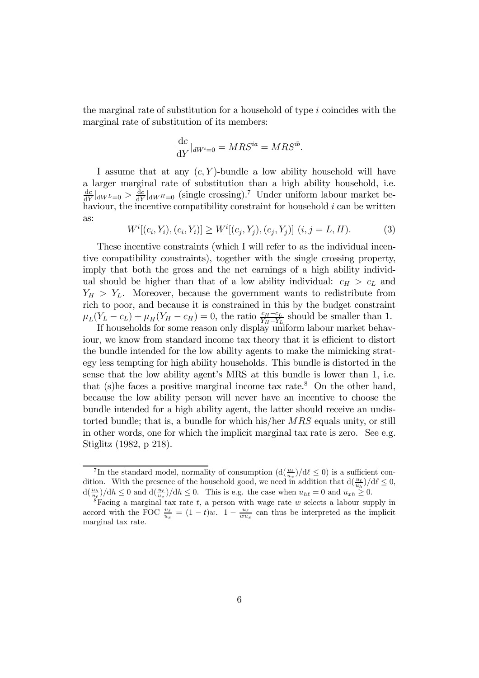the marginal rate of substitution for a household of type  $i$  coincides with the marginal rate of substitution of its members:

$$
\frac{\mathrm{d}c}{\mathrm{d}Y}|_{dW^i=0} = MRS^{ia} = MRS^{ib}.
$$

I assume that at any  $(c, Y)$ -bundle a low ability household will have a larger marginal rate of substitution than a high ability household, i.e.  $\frac{dc}{dY}|_{dW^L=0}$  >  $\frac{dc}{dY}|_{dW^H=0}$  (single crossing).<sup>7</sup> Under uniform labour market behaviour, the incentive compatibility constraint for household  $i$  can be written as:

$$
W^i[(c_i, Y_i), (c_i, Y_i)] \ge W^i[(c_j, Y_j), (c_j, Y_j)] \ (i, j = L, H). \tag{3}
$$

These incentive constraints (which I will refer to as the individual incentive compatibility constraints), together with the single crossing property, imply that both the gross and the net earnings of a high ability individual should be higher than that of a low ability individual:  $c_H > c_L$  and  $Y_H > Y_L$ . Moreover, because the government wants to redistribute from rich to poor, and because it is constrained in this by the budget constraint  $\mu_L(Y_L - c_L) + \mu_H(Y_H - c_H) = 0$ , the ratio  $\frac{c_H - c_L}{Y_H - Y_L}$  should be smaller than 1.

If households for some reason only display uniform labour market behaviour, we know from standard income tax theory that it is efficient to distort the bundle intended for the low ability agents to make the mimicking strategy less tempting for high ability households. This bundle is distorted in the sense that the low ability agent's MRS at this bundle is lower than 1, i.e. that  $(s)$ he faces a positive marginal income tax rate.<sup>8</sup> On the other hand, because the low ability person will never have an incentive to choose the bundle intended for a high ability agent, the latter should receive an undistorted bundle; that is, a bundle for which his/her MRS equals unity, or still in other words, one for which the implicit marginal tax rate is zero. See e.g. Stiglitz (1982, p 218).

<sup>&</sup>lt;sup>7</sup>In the standard model, normality of consumption  $(d(\frac{u_{\ell}}{u_x})/d\ell \leq 0)$  is a sufficient condition. With the presence of the household good, we need in addition that  $d(\frac{u_\ell}{u_h})/d\ell \leq 0$ ,

 $d(\frac{u_h}{u_\ell})/dh \leq 0$  and  $d(\frac{u_\ell}{u_x})/dh \leq 0$ . This is e.g. the case when  $u_{h\ell} = 0$  and  $u_{xh} \geq 0$ .<br><sup>8</sup>Facing a marginal tax rate t, a person with wage rate w selects a labour supply in accord with the FOC  $\frac{u_{\ell}}{u_x} = (1 - t)w$ .  $1 - \frac{u_{\ell}}{w u_x}$  can thus be interpreted as the implicit marginal tax rate.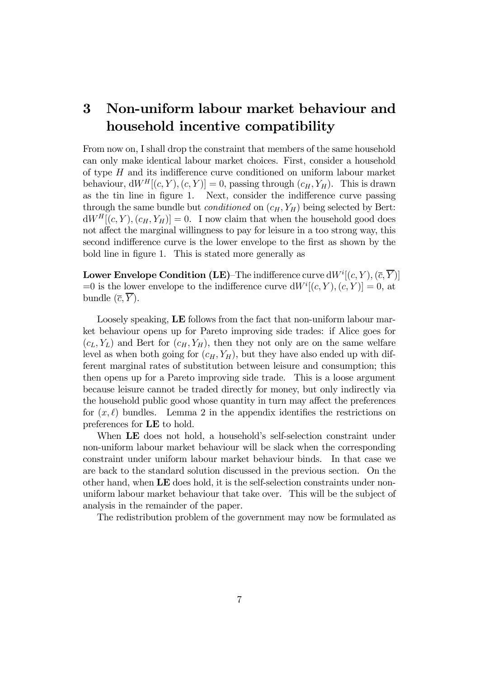## 3 Non-uniform labour market behaviour and household incentive compatibility

From now on, I shall drop the constraint that members of the same household can only make identical labour market choices. First, consider a household of type  $H$  and its indifference curve conditioned on uniform labour market behaviour,  $dW^H[(c, Y), (c, Y)] = 0$ , passing through  $(c_H, Y_H)$ . This is drawn as the tin line in figure 1. Next, consider the indifference curve passing through the same bundle but *conditioned* on  $(c_H, Y_H)$  being selected by Bert:  $dW^H[(c, Y), (c_H, Y_H)] = 0$ . I now claim that when the household good does not affect the marginal willingness to pay for leisure in a too strong way, this second indifference curve is the lower envelope to the first as shown by the bold line in figure 1. This is stated more generally as

Lower Envelope Condition (LE)–The indifference curve  $dW^i[(c, Y), (\overline{c}, \overline{Y})]$ =0 is the lower envelope to the indifference curve  $dW^{i}[(c, Y), (c, Y)] = 0$ , at bundle  $(\overline{c}, \overline{Y})$ .

Loosely speaking, LE follows from the fact that non-uniform labour market behaviour opens up for Pareto improving side trades: if Alice goes for  $(c_L, Y_L)$  and Bert for  $(c_H, Y_H)$ , then they not only are on the same welfare level as when both going for  $(c_H, Y_H)$ , but they have also ended up with different marginal rates of substitution between leisure and consumption; this then opens up for a Pareto improving side trade. This is a loose argument because leisure cannot be traded directly for money, but only indirectly via the household public good whose quantity in turn may affect the preferences for  $(x, \ell)$  bundles. Lemma 2 in the appendix identifies the restrictions on preferences for LE to hold.

When **LE** does not hold, a household's self-selection constraint under non-uniform labour market behaviour will be slack when the corresponding constraint under uniform labour market behaviour binds. In that case we are back to the standard solution discussed in the previous section. On the other hand, when LE does hold, it is the self-selection constraints under nonuniform labour market behaviour that take over. This will be the subject of analysis in the remainder of the paper.

The redistribution problem of the government may now be formulated as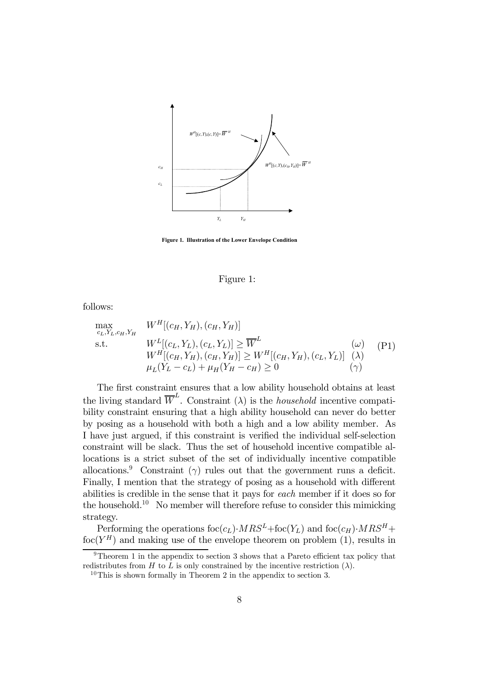

**Figure 1. Illustration of the Lower Envelope Condition**

#### Figure 1:

follows:

$$
\max_{c_L, Y_L, c_H, Y_H} \quad W^H[(c_H, Y_H), (c_H, Y_H)]
$$
\ns.t.

\n
$$
W^L[(c_L, Y_L), (c_L, Y_L)] \geq \overline{W}^L \quad (\omega)
$$
\n
$$
W^H[(c_H, Y_H), (c_H, Y_H)] \geq W^H[(c_H, Y_H), (c_L, Y_L)] \quad (\lambda)
$$
\n
$$
\mu_L(Y_L - c_L) + \mu_H(Y_H - c_H) \geq 0 \quad (\gamma)
$$

The first constraint ensures that a low ability household obtains at least the living standard  $\overline{W}^L$ . Constraint ( $\lambda$ ) is the *household* incentive compatibility constraint ensuring that a high ability household can never do better by posing as a household with both a high and a low ability member. As I have just argued, if this constraint is verified the individual self-selection constraint will be slack. Thus the set of household incentive compatible allocations is a strict subset of the set of individually incentive compatible allocations.<sup>9</sup> Constraint ( $\gamma$ ) rules out that the government runs a deficit. Finally, I mention that the strategy of posing as a household with different abilities is credible in the sense that it pays for each member if it does so for the household.<sup>10</sup> No member will therefore refuse to consider this mimicking strategy.

Performing the operations  $\operatorname{foc}(c_L)$ · $MRS^L + \operatorname{foc}(Y_L)$  and  $\operatorname{foc}(c_H)$ · $MRS^H +$  $foc(Y<sup>H</sup>)$  and making use of the envelope theorem on problem (1), results in

 $9$ Theorem 1 in the appendix to section 3 shows that a Pareto efficient tax policy that redistributes from H to L is only constrained by the incentive restriction  $(\lambda)$ .

 $10$ This is shown formally in Theorem 2 in the appendix to section 3.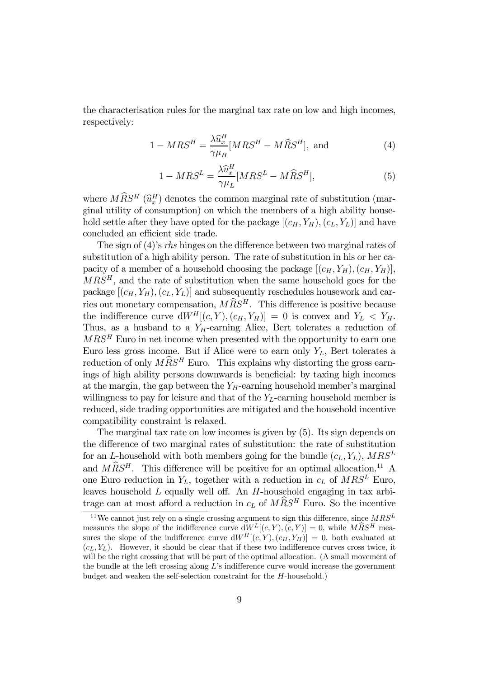the characterisation rules for the marginal tax rate on low and high incomes, respectively:

$$
1 - MRS^{H} = \frac{\lambda \widehat{u}_{x}^{H}}{\gamma \mu_{H}} [MRS^{H} - M\widehat{R}S^{H}], \text{ and}
$$
 (4)

$$
1 - MRS^{L} = \frac{\lambda \widehat{u}_{x}^{H}}{\gamma \mu_{L}} [MRS^{L} - M\widehat{R}S^{H}], \tag{5}
$$

where  $\widehat{M}$   $\widehat{R}$   $\widehat{S}^H$  ( $\widehat{u}_x^H$ ) denotes the common marginal rate of substitution (marginal utility of consumption) on which the members of a high ability household settle after they have opted for the package  $[(c_H, Y_H), (c_L, Y_L)]$  and have concluded an efficient side trade.

The sign of (4)'s rhs hinges on the difference between two marginal rates of substitution of a high ability person. The rate of substitution in his or her capacity of a member of a household choosing the package  $[(c_H, Y_H), (c_H, Y_H)],$  $MRS<sup>H</sup>$ , and the rate of substitution when the same household goes for the package  $[(c_H, Y_H), (c_L, Y_L)]$  and subsequently reschedules housework and carries out monetary compensation,  $M\widehat{R}S^H$ . This difference is positive because the indifference curve  $dW^H[(c, Y), (c_H, Y_H)] = 0$  is convex and  $Y_L < Y_H$ . Thus, as a husband to a  $Y_H$ -earning Alice, Bert tolerates a reduction of  $MRS<sup>H</sup>$  Euro in net income when presented with the opportunity to earn one Euro less gross income. But if Alice were to earn only  $Y_L$ , Bert tolerates a reduction of only  $M\widehat{R}S^H$  Euro. This explains why distorting the gross earnings of high ability persons downwards is beneficial: by taxing high incomes at the margin, the gap between the  $Y_H$ -earning household member's marginal willingness to pay for leisure and that of the  $Y_L$ -earning household member is reduced, side trading opportunities are mitigated and the household incentive compatibility constraint is relaxed.

The marginal tax rate on low incomes is given by (5). Its sign depends on the difference of two marginal rates of substitution: the rate of substitution for an L-household with both members going for the bundle  $(c_L, Y_L)$ ,  $MRS^L$ and  $M\widehat{R}S^H$ . This difference will be positive for an optimal allocation.<sup>11</sup> A one Euro reduction in  $Y_L$ , together with a reduction in  $c_L$  of  $MRS^L$  Euro, leaves household  $L$  equally well off. An  $H$ -household engaging in tax arbitrage can at most afford a reduction in  $c<sub>L</sub>$  of  $M\widehat{R}S^H$  Euro. So the incentive

<sup>&</sup>lt;sup>11</sup>We cannot just rely on a single crossing argument to sign this difference, since  $MRS<sup>L</sup>$ measures the slope of the indifference curve  $dW^L[(c, Y), (c, Y)] = 0$ , while  $M\hat{R}S^H$  measures the slope of the indifference curve  $dW^H[(c, Y), (c_H, Y_H)] = 0$ , both evaluated at  $(c_L, Y_L)$ . However, it should be clear that if these two indifference curves cross twice, it will be the right crossing that will be part of the optimal allocation. (A small movement of the bundle at the left crossing along L's indifference curve would increase the government budget and weaken the self-selection constraint for the H-household.)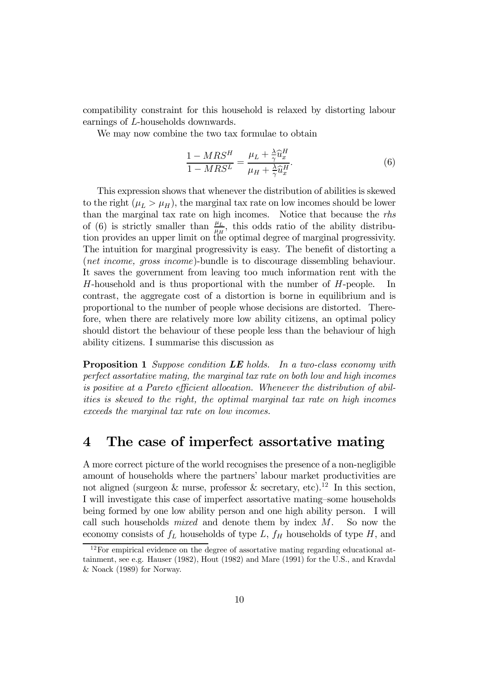compatibility constraint for this household is relaxed by distorting labour earnings of L-households downwards.

We may now combine the two tax formulae to obtain

$$
\frac{1 - MRS^H}{1 - MRS^L} = \frac{\mu_L + \frac{\lambda}{\gamma} \widehat{u}_x^H}{\mu_H + \frac{\lambda}{\gamma} \widehat{u}_x^H}.
$$
\n(6)

This expression shows that whenever the distribution of abilities is skewed to the right  $(\mu_L > \mu_H)$ , the marginal tax rate on low incomes should be lower than the marginal tax rate on high incomes. Notice that because the rhs of (6) is strictly smaller than  $\frac{\mu_L}{\mu_H}$ , this odds ratio of the ability distribution provides an upper limit on the optimal degree of marginal progressivity. The intuition for marginal progressivity is easy. The benefit of distorting a (net income, gross income)-bundle is to discourage dissembling behaviour. It saves the government from leaving too much information rent with the H-household and is thus proportional with the number of H-people. In contrast, the aggregate cost of a distortion is borne in equilibrium and is proportional to the number of people whose decisions are distorted. Therefore, when there are relatively more low ability citizens, an optimal policy should distort the behaviour of these people less than the behaviour of high ability citizens. I summarise this discussion as

**Proposition 1** Suppose condition **LE** holds. In a two-class economy with perfect assortative mating, the marginal tax rate on both low and high incomes is positive at a Pareto efficient allocation. Whenever the distribution of abilities is skewed to the right, the optimal marginal tax rate on high incomes exceeds the marginal tax rate on low incomes.

## 4 The case of imperfect assortative mating

A more correct picture of the world recognises the presence of a non-negligible amount of households where the partners' labour market productivities are not aligned (surgeon  $\&$  nurse, professor  $\&$  secretary, etc).<sup>12</sup> In this section, I will investigate this case of imperfect assortative mating—some households being formed by one low ability person and one high ability person. I will call such households *mixed* and denote them by index  $M$ . So now the economy consists of  $f_L$  households of type  $L$ ,  $f_H$  households of type  $H$ , and

<sup>&</sup>lt;sup>12</sup>For empirical evidence on the degree of assortative mating regarding educational attainment, see e.g. Hauser (1982), Hout (1982) and Mare (1991) for the U.S., and Kravdal & Noack (1989) for Norway.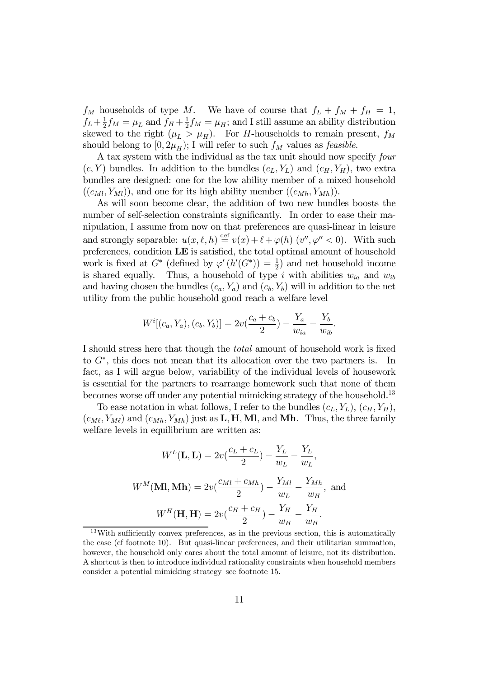$f_M$  households of type M. We have of course that  $f_L + f_M + f_H = 1$ ,  $f_L + \frac{1}{2}f_M = \mu_L$  and  $f_H + \frac{1}{2}f_M = \mu_H$ ; and I still assume an ability distribution skewed to the right  $(\mu_L > \mu_H)$ . For H-households to remain present,  $f_M$ should belong to  $[0, 2\mu_H)$ ; I will refer to such  $f_M$  values as *feasible*.

A tax system with the individual as the tax unit should now specify four  $(c, Y)$  bundles. In addition to the bundles  $(c_L, Y_L)$  and  $(c_H, Y_H)$ , two extra bundles are designed: one for the low ability member of a mixed household  $((c_{ML}, Y_{ML}))$ , and one for its high ability member  $((c_{ML}, Y_{ML}))$ .

As will soon become clear, the addition of two new bundles boosts the number of self-selection constraints significantly. In order to ease their manipulation, I assume from now on that preferences are quasi-linear in leisure and strongly separable:  $u(x, \ell, h) \stackrel{\text{def}}{=} v(x) + \ell + \varphi(h)$  ( $v'', \varphi'' < 0$ ). With such preferences, condition LE is satisfied, the total optimal amount of household work is fixed at  $G^*$  (defined by  $\varphi'(h'(G^*)) = \frac{1}{2}$ ) and net household income is shared equally. Thus, a household of type i with abilities  $w_{ia}$  and  $w_{ib}$ and having chosen the bundles  $(c_a, Y_a)$  and  $(c_b, Y_b)$  will in addition to the net utility from the public household good reach a welfare level

$$
W^i[(c_a, Y_a), (c_b, Y_b)] = 2v(\frac{c_a + c_b}{2}) - \frac{Y_a}{w_{ia}} - \frac{Y_b}{w_{ib}}.
$$

I should stress here that though the total amount of household work is fixed to G∗, this does not mean that its allocation over the two partners is. In fact, as I will argue below, variability of the individual levels of housework is essential for the partners to rearrange homework such that none of them becomes worse off under any potential mimicking strategy of the household.<sup>13</sup>

To ease notation in what follows, I refer to the bundles  $(c_L, Y_L)$ ,  $(c_H, Y_H)$ ,  $(c_{M\ell}, Y_{M\ell})$  and  $(c_{Mh}, Y_{Mh})$  just as **L**, **H**, Ml, and Mh. Thus, the three family welfare levels in equilibrium are written as:

$$
W^{L}(\mathbf{L}, \mathbf{L}) = 2v\left(\frac{c_L + c_L}{2}\right) - \frac{Y_L}{w_L} - \frac{Y_L}{w_L},
$$
  

$$
W^{M}(\mathbf{M}\mathbf{l}, \mathbf{M}\mathbf{h}) = 2v\left(\frac{c_{Ml} + c_{Mh}}{2}\right) - \frac{Y_{Ml}}{w_L} - \frac{Y_{Mh}}{w_H},
$$
and  

$$
W^{H}(\mathbf{H}, \mathbf{H}) = 2v\left(\frac{c_H + c_H}{2}\right) - \frac{Y_H}{w_H} - \frac{Y_H}{w_H}.
$$

 $13$ With sufficiently convex preferences, as in the previous section, this is automatically the case (cf footnote 10). But quasi-linear preferences, and their utilitarian summation, however, the household only cares about the total amount of leisure, not its distribution. A shortcut is then to introduce individual rationality constraints when household members consider a potential mimicking strategy—see footnote 15.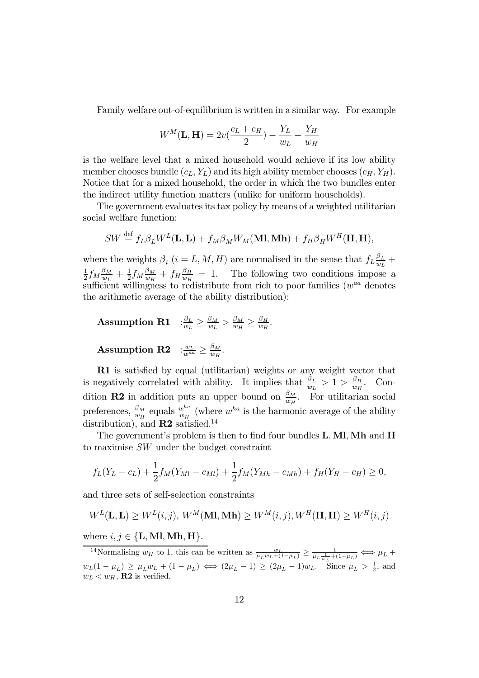Family welfare out-of-equilibrium is written in a similar way. For example

$$
W^M(\mathbf{L}, \mathbf{H}) = 2v(\frac{c_L + c_H}{2}) - \frac{Y_L}{w_L} - \frac{Y_H}{w_H}
$$

is the welfare level that a mixed household would achieve if its low ability member chooses bundle  $(c_L, Y_L)$  and its high ability member chooses  $(c_H, Y_H)$ . Notice that for a mixed household, the order in which the two bundles enter the indirect utility function matters (unlike for uniform households).

The government evaluates its tax policy by means of a weighted utilitarian social welfare function:

$$
SW \stackrel{\text{def}}{=} f_L \beta_L W^L(\mathbf{L}, \mathbf{L}) + f_M \beta_M W_M(\mathbf{M}\mathbf{l}, \mathbf{M}\mathbf{h}) + f_H \beta_H W^H(\mathbf{H}, \mathbf{H}),
$$

where the weights  $\beta_i$  ( $i = L, M, H$ ) are normalised in the sense that  $f_L \frac{\beta_L}{w_L}$  +  $\frac{1}{2} f_M \frac{\beta_M}{w_L} + \frac{1}{2} f_M \frac{\beta_M}{w_H} + f_H \frac{\beta_H}{w_H} = 1.$  The following two conditions impose a sufficient willingness to redistribute from rich to poor families  $(w^{aa}$  denotes the arithmetic average of the ability distribution):

 $\text{Assumption R1} \quad \frac{\beta_L}{w_L} \geq \frac{\beta_M}{w_L} > \frac{\beta_M}{w_H} \geq \frac{\beta_H}{w_H}.$ 

$$
\textrm{Assumption~R2~~}:\!\!\begin{array}{l}\frac{w_L}{w^{aa}}\geq\frac{\beta_M}{w_H}.\end{array}
$$

R1 is satisfied by equal (utilitarian) weights or any weight vector that is negatively correlated with ability. It implies that  $\frac{\beta_L}{w_L} > 1 > \frac{\beta_H}{w_H}$ . Condition **R2** in addition puts an upper bound on  $\frac{\beta_M}{w_H}$ . For utilitarian social preferences,  $\frac{\beta_M}{w_H}$  equals  $\frac{w^{ha}}{w_H}$  (where  $w^{ha}$  is the harmonic average of the ability distribution), and  $\mathbb{R}2$  satisfied.<sup>14</sup>

The government's problem is then to find four bundles  $L, Ml, Mh$  and  $H$ to maximise SW under the budget constraint

$$
f_L(Y_L - c_L) + \frac{1}{2} f_M(Y_{Ml} - c_{Ml}) + \frac{1}{2} f_M(Y_{Mh} - c_{Mh}) + f_H(Y_H - c_H) \ge 0,
$$

and three sets of self-selection constraints

$$
W^{L}(\mathbf{L}, \mathbf{L}) \geq W^{L}(i, j), W^{M}(\mathbf{M}\mathbf{I}, \mathbf{M}\mathbf{h}) \geq W^{M}(i, j), W^{H}(\mathbf{H}, \mathbf{H}) \geq W^{H}(i, j)
$$

where  $i, j \in \{L, Ml, Mh, H\}.$ 

<sup>&</sup>lt;sup>14</sup>Normalising  $w_H$  to 1, this can be written as  $\frac{w_L}{\mu_L w_L + (1-\mu_L)} \ge \frac{1}{\mu_L \frac{1}{w_L} + (1-\mu_L)} \iff \mu_L +$  $w_L(1-\mu_L) \geq \mu_L w_L + (1-\mu_L) \iff (2\mu_L - 1) \geq (2\mu_L - 1)w_L$ . Since  $\mu_L > \frac{1}{2}$ , and  $w_L < w_H$ , **R2** is verified.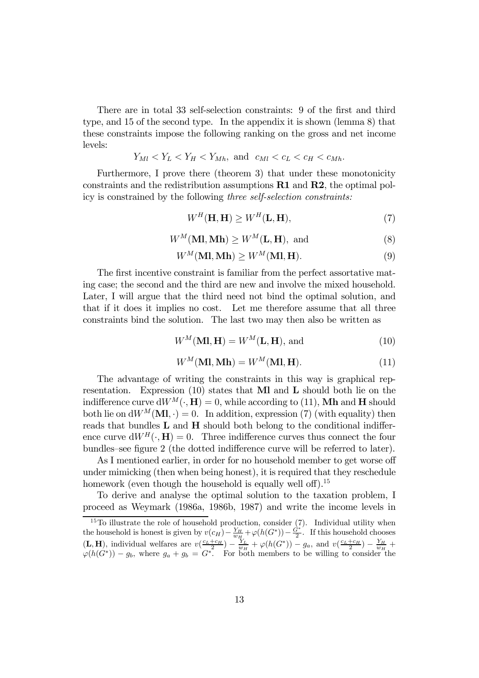There are in total 33 self-selection constraints: 9 of the first and third type, and 15 of the second type. In the appendix it is shown (lemma 8) that these constraints impose the following ranking on the gross and net income levels:

$$
Y_{Ml} < Y_L < Y_H < Y_{Mh}
$$
, and  $c_{Ml} < c_L < c_H < c_{Mh}$ .

Furthermore, I prove there (theorem 3) that under these monotonicity constraints and the redistribution assumptions R1 and R2, the optimal policy is constrained by the following three self-selection constraints:

$$
W^H(\mathbf{H}, \mathbf{H}) \ge W^H(\mathbf{L}, \mathbf{H}),\tag{7}
$$

$$
W^M(\mathbf{M}\mathbf{l}, \mathbf{M}\mathbf{h}) \ge W^M(\mathbf{L}, \mathbf{H}), \text{ and}
$$
\n(8)

$$
W^M(\mathbf{M}\mathbf{l}, \mathbf{M}\mathbf{h}) \ge W^M(\mathbf{M}\mathbf{l}, \mathbf{H}).
$$
\n(9)

The first incentive constraint is familiar from the perfect assortative mating case; the second and the third are new and involve the mixed household. Later, I will argue that the third need not bind the optimal solution, and that if it does it implies no cost. Let me therefore assume that all three constraints bind the solution. The last two may then also be written as

$$
W^M(\mathbf{M}, \mathbf{H}) = W^M(\mathbf{L}, \mathbf{H}), \text{ and}
$$
\n(10)

$$
W^M(\mathbf{M}\mathbf{l}, \mathbf{M}\mathbf{h}) = W^M(\mathbf{M}\mathbf{l}, \mathbf{H}).
$$
\n(11)

The advantage of writing the constraints in this way is graphical representation. Expression (10) states that Ml and L should both lie on the indifference curve  $dW^M(\cdot, \mathbf{H})=0$ , while according to (11), **Mh** and **H** should both lie on  $dW^M(\mathbf{M}|\cdot)=0$ . In addition, expression (7) (with equality) then reads that bundles  $L$  and  $H$  should both belong to the conditional indifference curve  $dW^H(\cdot, \mathbf{H})=0$ . Three indifference curves thus connect the four bundles—see figure 2 (the dotted indifference curve will be referred to later).

As I mentioned earlier, in order for no household member to get worse off under mimicking (then when being honest), it is required that they reschedule homework (even though the household is equally well of  $5^{15}$ ).<sup>15</sup>

To derive and analyse the optimal solution to the taxation problem, I proceed as Weymark (1986a, 1986b, 1987) and write the income levels in

 $15$ To illustrate the role of household production, consider (7). Individual utility when the household is honest is given by  $v(c_H) - \frac{Y_H}{w_H} + \varphi(h(G^*)) - \frac{G^*}{2}$ . If this household chooses  $(\mathbf{L}, \mathbf{H})$ , individual welfares are  $v\left(\frac{c_L+c_H}{c^2}\right) - \frac{Y_L}{w_H} + \varphi(h(G^*)) - g_a$ , and  $v\left(\frac{c_L+c_H}{2}\right) - \frac{Y_H}{w_H} +$  $\varphi(h(G^*)) - g_b$ , where  $g_a + g_b = G^*$ . For both members to be willing to consider the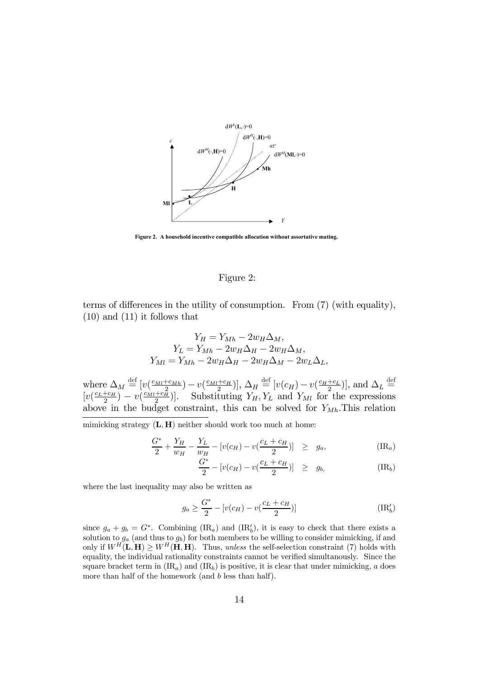

**Figure 2. A household incentive compatible allocation without assortative mating.**

#### Figure 2:

terms of differences in the utility of consumption. From (7) (with equality), (10) and (11) it follows that

$$
Y_H = Y_{Mh} - 2w_H \Delta_M,
$$
  
\n
$$
Y_L = Y_{Mh} - 2w_H \Delta_H - 2w_H \Delta_M,
$$
  
\n
$$
Y_{Ml} = Y_{Mh} - 2w_H \Delta_H - 2w_H \Delta_M - 2w_L \Delta_L,
$$

where  $\Delta_M \stackrel{\text{def}}{=} [v(\frac{c_{Ml}+c_{Mh}}{2}) - v(\frac{c_{Ml}+c_{H}}{2})], \Delta_H \stackrel{\text{def}}{=} [v(c_H) - v(\frac{c_{H}+c_{L}}{2})],$  and  $\Delta_L \stackrel{\text{def}}{=}$  $[v(\frac{c_L+c_H}{2})-v(\frac{c_M+c_H}{2})]$ . Substituting  $Y_H, Y_L$  and  $Y_M$  for the expressions above in the budget constraint, this can be solved for  $Y_{Mh}$ . This relation

mimicking strategy  $(L, H)$  neither should work too much at home:

$$
\frac{G^*}{2} + \frac{Y_H}{w_H} - \frac{Y_L}{w_H} - [v(c_H) - v(\frac{c_L + c_H}{2})] \ge g_a,
$$
 (IR<sub>a</sub>)

$$
\frac{G^*}{2} - [v(c_H) - v(\frac{c_L + c_H}{2})] \ge g_b,
$$
 (IR<sub>b</sub>)

where the last inequality may also be written as

$$
g_a \ge \frac{G^*}{2} - [v(c_H) - v(\frac{c_L + c_H}{2})]
$$
 (IR'<sub>b</sub>)

since  $g_a + g_b = G^*$ . Combining  $(\text{IR}_a)$  and  $(\text{IR}'_b)$ , it is easy to check that there exists a solution to  $g_a$  (and thus to  $g_b$ ) for both members to be willing to consider mimicking, if and only if  $W^H(\mathbf{L}, \mathbf{H}) \geq W^H(\mathbf{H}, \mathbf{H})$ . Thus, unless the self-selection constraint (7) holds with equality, the individual rationality constraints cannot be verified simultanously. Since the square bracket term in  $(\text{IR}_a)$  and  $(\text{IR}_b)$  is positive, it is clear that under mimicking, a does more than half of the homework (and b less than half).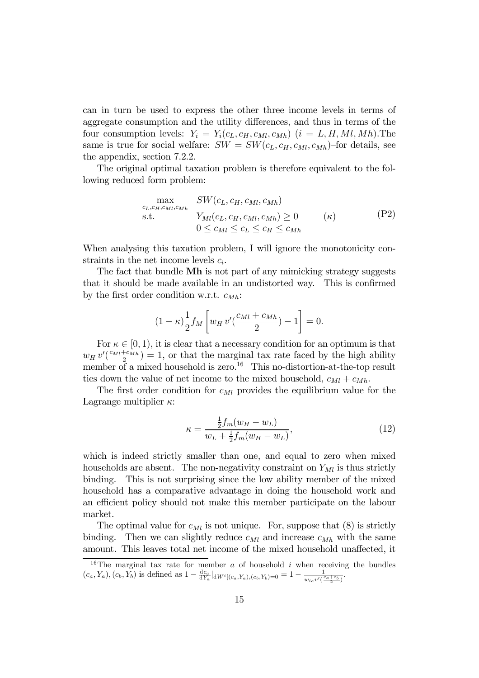can in turn be used to express the other three income levels in terms of aggregate consumption and the utility differences, and thus in terms of the four consumption levels:  $Y_i = Y_i(c_L, c_H, c_{Ml}, c_{Mh})$   $(i = L, H, Ml, Mh)$ . The same is true for social welfare:  $SW = SW(c_L, c_H, c_{ML}, c_{ML})$ -for details, see the appendix, section 7.2.2.

The original optimal taxation problem is therefore equivalent to the following reduced form problem:

$$
\max_{\substack{c_L, c_H, c_{Ml}, c_{Mh} \\ \text{s.t.}}} \frac{SW(c_L, c_H, c_{Ml}, c_{Mh})}{Y_{Ml}(c_L, c_H, c_{Ml}, c_{Mh}) \ge 0} \qquad (\kappa) \\ 0 \le c_{Ml} \le c_L \le c_H \le c_{Mh} \qquad (\text{P2})
$$

When analysing this taxation problem, I will ignore the monotonicity constraints in the net income levels  $c_i$ .

The fact that bundle **Mh** is not part of any mimicking strategy suggests that it should be made available in an undistorted way. This is confirmed by the first order condition w.r.t.  $c_{Mh}$ :

$$
(1 - \kappa) \frac{1}{2} f_M \left[ w_H v'(\frac{c_{Ml} + c_{Mh}}{2}) - 1 \right] = 0.
$$

For  $\kappa \in [0, 1)$ , it is clear that a necessary condition for an optimum is that  $w_H v'(\frac{c_M + c_M}{2}) = 1$ , or that the marginal tax rate faced by the high ability member of a mixed household is zero.<sup>16</sup> This no-distortion-at-the-top result ties down the value of net income to the mixed household,  $c_{Ml} + c_{Mh}$ .

The first order condition for  $c_{Ml}$  provides the equilibrium value for the Lagrange multiplier  $\kappa$ :

$$
\kappa = \frac{\frac{1}{2}f_m(w_H - w_L)}{w_L + \frac{1}{2}f_m(w_H - w_L)},\tag{12}
$$

which is indeed strictly smaller than one, and equal to zero when mixed households are absent. The non-negativity constraint on  $Y_{Ml}$  is thus strictly binding. This is not surprising since the low ability member of the mixed household has a comparative advantage in doing the household work and an efficient policy should not make this member participate on the labour market.

The optimal value for  $c_{Ml}$  is not unique. For, suppose that (8) is strictly binding. Then we can slightly reduce  $c_{Ml}$  and increase  $c_{Mh}$  with the same amount. This leaves total net income of the mixed household unaffected, it

<sup>&</sup>lt;sup>16</sup>The marginal tax rate for member  $a$  of household  $i$  when receiving the bundles  $(c_a, Y_a), (c_b, Y_b)$  is defined as  $1 - \frac{d c_a}{d Y_a}|_{dW^i[(c_a, Y_a), (c_b, Y_b) = 0} = 1 - \frac{1}{w_{ia}v'(\frac{c_a + c_b}{2})}$ .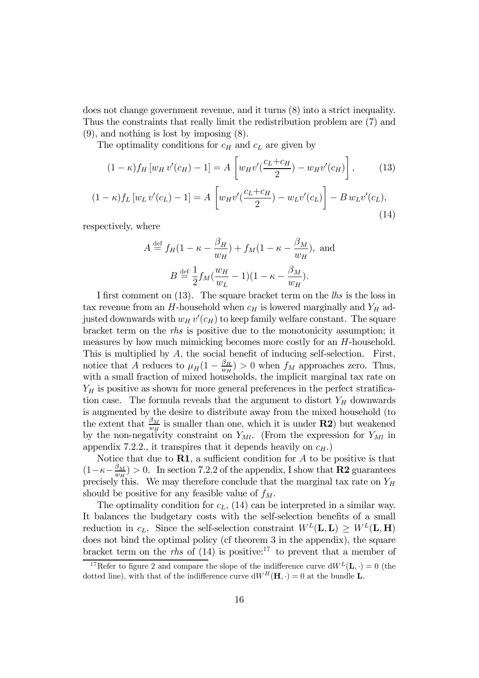does not change government revenue, and it turns (8) into a strict inequality. Thus the constraints that really limit the redistribution problem are (7) and (9), and nothing is lost by imposing (8).

The optimality conditions for  $c_H$  and  $c_L$  are given by

$$
(1 - \kappa) f_H \left[ w_H v'(c_H) - 1 \right] = A \left[ w_H v'(\frac{c_L + c_H}{2}) - w_H v'(c_H) \right], \tag{13}
$$

$$
(1 - \kappa) f_L [w_L v'(c_L) - 1] = A \left[ w_H v'(\frac{c_L + c_H}{2}) - w_L v'(c_L) \right] - B w_L v'(c_L),
$$
\n(14)

respectively, where

$$
A \stackrel{\text{def}}{=} f_H(1 - \kappa - \frac{\beta_H}{w_H}) + f_M(1 - \kappa - \frac{\beta_M}{w_H}), \text{ and}
$$

$$
B \stackrel{\text{def}}{=} \frac{1}{2} f_M(\frac{w_H}{w_L} - 1)(1 - \kappa - \frac{\beta_M}{w_H}).
$$

I first comment on (13). The square bracket term on the lhs is the loss in tax revenue from an H-household when  $c_H$  is lowered marginally and  $Y_H$  adjusted downwards with  $w_H v'(c_H)$  to keep family welfare constant. The square bracket term on the rhs is positive due to the monotonicity assumption; it measures by how much mimicking becomes more costly for an  $H$ -household. This is multiplied by A, the social benefit of inducing self-selection. First, notice that A reduces to  $\mu_H(1 - \frac{\beta_H}{w_H}) > 0$  when  $f_M$  approaches zero. Thus, with a small fraction of mixed households, the implicit marginal tax rate on  $Y_H$  is positive as shown for more general preferences in the perfect stratification case. The formula reveals that the argument to distort  $Y_H$  downwards is augmented by the desire to distribute away from the mixed household (to the extent that  $\frac{\beta_M}{w_H}$  is smaller than one, which it is under **R2**) but weakened by the non-negativity constraint on  $Y_{M}$ . (From the expression for  $Y_{M}$  in appendix 7.2.2., it transpires that it depends heavily on  $c_H$ .)

Notice that due to **, a sufficient condition for**  $A$  **to be positive is that**  $(1-\kappa-\frac{\beta_M}{w_H})>0$ . In section 7.2.2 of the appendix, I show that R2 guarantees precisely this. We may therefore conclude that the marginal tax rate on  $Y_H$ should be positive for any feasible value of  $f_M$ .

The optimality condition for  $c<sub>L</sub>$ , (14) can be interpreted in a similar way. It balances the budgetary costs with the self-selection benefits of a small reduction in c<sub>L</sub>. Since the self-selection constraint  $W<sup>L</sup>(L, L) \geq W<sup>L</sup>(L, H)$ does not bind the optimal policy (cf theorem 3 in the appendix), the square bracket term on the rhs of  $(14)$  is positive:<sup>17</sup> to prevent that a member of

<sup>&</sup>lt;sup>17</sup>Refer to figure 2 and compare the slope of the indifference curve  $dW<sup>L</sup>(**L**,.)=0$  (the dotted line), with that of the indifference curve  $dW^H(\mathbf{H}, \cdot)=0$  at the bundle **L**.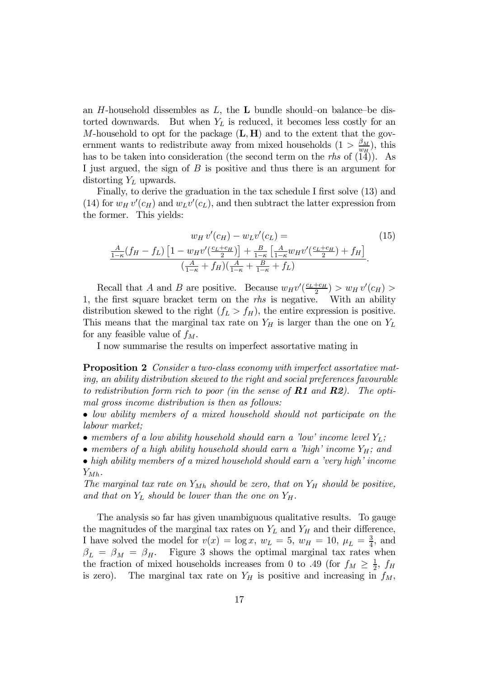an H-household dissembles as  $L$ , the  $L$  bundle should–on balance–be distorted downwards. But when  $Y_L$  is reduced, it becomes less costly for an M-household to opt for the package  $(L, H)$  and to the extent that the government wants to redistribute away from mixed households  $(1 > \frac{\beta_M}{w_H})$ , this has to be taken into consideration (the second term on the *rhs* of  $(14)$ ). As I just argued, the sign of B is positive and thus there is an argument for distorting  $Y_L$  upwards.

Finally, to derive the graduation in the tax schedule I first solve (13) and (14) for  $w_H v'(c_H)$  and  $w_L v'(c_L)$ , and then subtract the latter expression from the former. This yields:

$$
w_H v'(c_H) - w_L v'(c_L) = \n\frac{\frac{A}{1-\kappa}(f_H - f_L) \left[1 - \frac{w_H v'(c_L + c_H)}{2}\right] + \frac{B}{1-\kappa} \left[\frac{A}{1-\kappa} w_H v'(\frac{c_L + c_H}{2}) + f_H\right]}{\left(\frac{A}{1-\kappa} + f_H\right)\left(\frac{A}{1-\kappa} + \frac{B}{1-\kappa} + f_L\right)}.
$$
\n(15)

Recall that A and B are positive. Because  $w_H v'(\frac{c_L+c_H}{2}) > w_H v'(c_H) >$ 1, the first square bracket term on the rhs is negative. With an ability distribution skewed to the right  $(f_L > f_H)$ , the entire expression is positive. This means that the marginal tax rate on  $Y_H$  is larger than the one on  $Y_L$ for any feasible value of  $f_M$ .

I now summarise the results on imperfect assortative mating in

Proposition 2 Consider a two-class economy with imperfect assortative mating, an ability distribution skewed to the right and social preferences favourable to redistribution form rich to poor (in the sense of  $R1$  and  $R2$ ). The optimal gross income distribution is then as follows:

• low ability members of a mixed household should not participate on the labour market;

- members of a low ability household should earn a 'low' income level  $Y_L$ ;
- members of a high ability household should earn a 'high' income  $Y_H$ ; and
- high ability members of a mixed household should earn a 'very high' income  $Y_{Mh}$ .

The marginal tax rate on  $Y_{Mh}$  should be zero, that on  $Y_H$  should be positive, and that on  $Y_L$  should be lower than the one on  $Y_H$ .

The analysis so far has given unambiguous qualitative results. To gauge the magnitudes of the marginal tax rates on  $Y_L$  and  $Y_H$  and their difference, I have solved the model for  $v(x) = \log x$ ,  $w_L = 5$ ,  $w_H = 10$ ,  $\mu_L = \frac{3}{4}$ , and  $\beta_L = \beta_M = \beta_H$ . Figure 3 shows the optimal marginal tax rates when the fraction of mixed households increases from 0 to .49 (for  $f_M \ge \frac{1}{2}$ ,  $f_H$ is zero). The marginal tax rate on  $Y_H$  is positive and increasing in  $f_M$ ,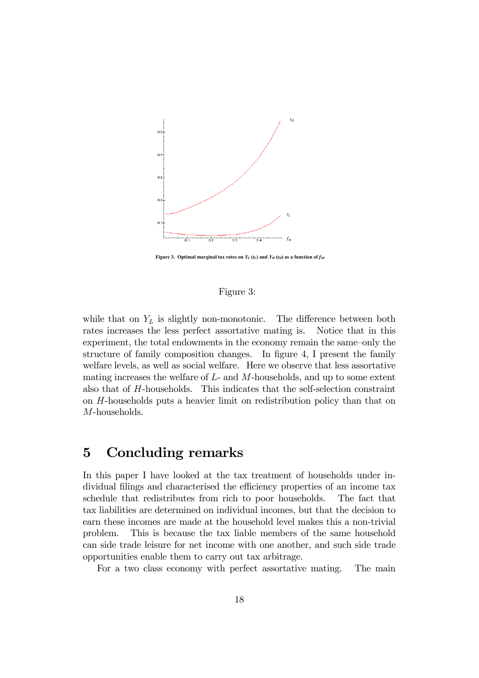

**Figure 3.** Optimal marginal tax rates on  $Y_L$  ( $t_L$ ) and  $Y_H$  ( $t_H$ ) as a function of  $f_M$ .

#### Figure 3:

while that on  $Y_L$  is slightly non-monotonic. The difference between both rates increases the less perfect assortative mating is. Notice that in this experiment, the total endowments in the economy remain the same—only the structure of family composition changes. In figure 4, I present the family welfare levels, as well as social welfare. Here we observe that less assortative mating increases the welfare of  $L$ - and  $M$ -households, and up to some extent also that of H-households. This indicates that the self-selection constraint on H-households puts a heavier limit on redistribution policy than that on M-households.

### 5 Concluding remarks

In this paper I have looked at the tax treatment of households under individual filings and characterised the efficiency properties of an income tax schedule that redistributes from rich to poor households. The fact that tax liabilities are determined on individual incomes, but that the decision to earn these incomes are made at the household level makes this a non-trivial problem. This is because the tax liable members of the same household can side trade leisure for net income with one another, and such side trade opportunities enable them to carry out tax arbitrage.

For a two class economy with perfect assortative mating. The main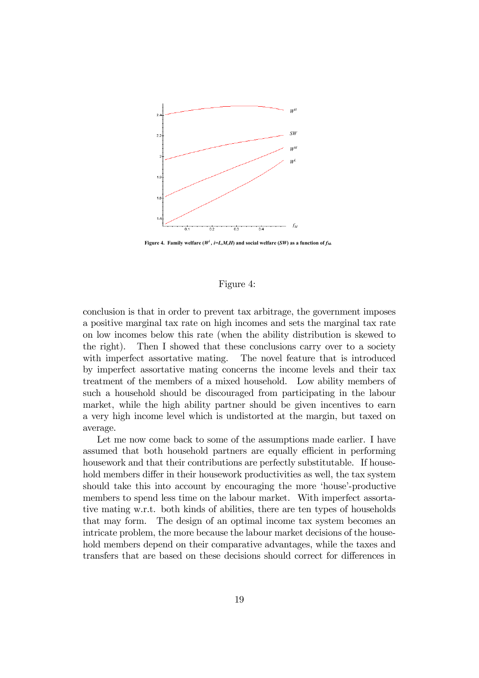

Figure 4. Family welfare  $(W^i, i=L,M,H)$  and social welfare  $(SW)$  as a function of  $f_M$ .

#### Figure 4:

conclusion is that in order to prevent tax arbitrage, the government imposes a positive marginal tax rate on high incomes and sets the marginal tax rate on low incomes below this rate (when the ability distribution is skewed to the right). Then I showed that these conclusions carry over to a society with imperfect assortative mating. The novel feature that is introduced by imperfect assortative mating concerns the income levels and their tax treatment of the members of a mixed household. Low ability members of such a household should be discouraged from participating in the labour market, while the high ability partner should be given incentives to earn a very high income level which is undistorted at the margin, but taxed on average.

Let me now come back to some of the assumptions made earlier. I have assumed that both household partners are equally efficient in performing housework and that their contributions are perfectly substitutable. If household members differ in their housework productivities as well, the tax system should take this into account by encouraging the more 'house'-productive members to spend less time on the labour market. With imperfect assortative mating w.r.t. both kinds of abilities, there are ten types of households that may form. The design of an optimal income tax system becomes an intricate problem, the more because the labour market decisions of the household members depend on their comparative advantages, while the taxes and transfers that are based on these decisions should correct for differences in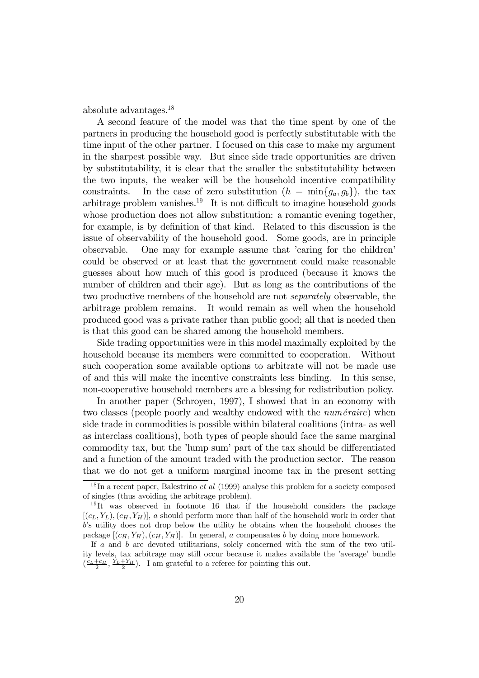absolute advantages.18

A second feature of the model was that the time spent by one of the partners in producing the household good is perfectly substitutable with the time input of the other partner. I focused on this case to make my argument in the sharpest possible way. But since side trade opportunities are driven by substitutability, it is clear that the smaller the substitutability between the two inputs, the weaker will be the household incentive compatibility constraints. In the case of zero substitution  $(h = \min\{g_a, g_b\})$ , the tax arbitrage problem vanishes. $19$  It is not difficult to imagine household goods whose production does not allow substitution: a romantic evening together, for example, is by definition of that kind. Related to this discussion is the issue of observability of the household good. Some goods, are in principle observable. One may for example assume that 'caring for the children' could be observed—or at least that the government could make reasonable guesses about how much of this good is produced (because it knows the number of children and their age). But as long as the contributions of the two productive members of the household are not separately observable, the arbitrage problem remains. It would remain as well when the household produced good was a private rather than public good; all that is needed then is that this good can be shared among the household members.

Side trading opportunities were in this model maximally exploited by the household because its members were committed to cooperation. Without such cooperation some available options to arbitrate will not be made use of and this will make the incentive constraints less binding. In this sense, non-cooperative household members are a blessing for redistribution policy.

In another paper (Schroyen, 1997), I showed that in an economy with two classes (people poorly and wealthy endowed with the  $num\acute{e}raire$ ) when side trade in commodities is possible within bilateral coalitions (intra- as well as interclass coalitions), both types of people should face the same marginal commodity tax, but the 'lump sum' part of the tax should be differentiated and a function of the amount traded with the production sector. The reason that we do not get a uniform marginal income tax in the present setting

 $18$  In a recent paper, Balestrino *et al* (1999) analyse this problem for a society composed of singles (thus avoiding the arbitrage problem).

 $19$  It was observed in footnote 16 that if the household considers the package  $[(c_L, Y_L), (c_H, Y_H)], a$  should perform more than half of the household work in order that b's utility does not drop below the utility he obtains when the household chooses the package  $[(c_H, Y_H), (c_H, Y_H)]$ . In general, a compensates b by doing more homework.

If a and b are devoted utilitarians, solely concerned with the sum of the two utility levels, tax arbitrage may still occur because it makes available the 'average' bundle  $\left(\frac{c_L+c_H}{2}, \frac{Y_L+Y_H}{2}\right)$ . I am grateful to a referee for pointing this out.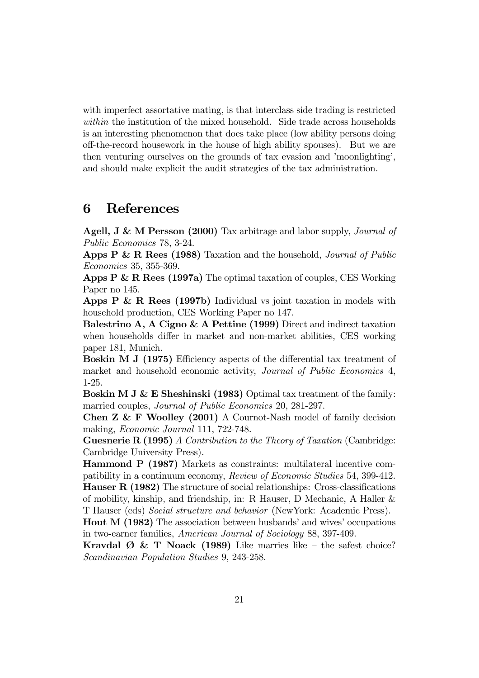with imperfect assortative mating, is that interclass side trading is restricted within the institution of the mixed household. Side trade across households is an interesting phenomenon that does take place (low ability persons doing off-the-record housework in the house of high ability spouses). But we are then venturing ourselves on the grounds of tax evasion and 'moonlighting', and should make explicit the audit strategies of the tax administration.

### 6 References

Agell, J & M Persson (2000) Tax arbitrage and labor supply, *Journal of* Public Economics 78, 3-24.

Apps P & R Rees (1988) Taxation and the household, *Journal of Public* Economics 35, 355-369.

Apps  $P \& R$  Rees (1997a) The optimal taxation of couples, CES Working Paper no 145.

Apps  $P \& R$  Rees (1997b) Individual vs joint taxation in models with household production, CES Working Paper no 147.

Balestrino A, A Cigno & A Pettine (1999) Direct and indirect taxation when households differ in market and non-market abilities, CES working paper 181, Munich.

Boskin M J (1975) Efficiency aspects of the differential tax treatment of market and household economic activity, Journal of Public Economics 4, 1-25.

Boskin M J & E Sheshinski (1983) Optimal tax treatment of the family: married couples, Journal of Public Economics 20, 281-297.

Chen Z & F Woolley (2001) A Cournot-Nash model of family decision making, Economic Journal 111, 722-748.

Guesnerie R (1995) A Contribution to the Theory of Taxation (Cambridge: Cambridge University Press).

Hammond P (1987) Markets as constraints: multilateral incentive compatibility in a continuum economy, Review of Economic Studies 54, 399-412. Hauser R (1982) The structure of social relationships: Cross-classifications of mobility, kinship, and friendship, in: R Hauser, D Mechanic, A Haller & T Hauser (eds) Social structure and behavior (NewYork: Academic Press).

Hout M (1982) The association between husbands' and wives' occupations in two-earner families, American Journal of Sociology 88, 397-409.

Kravdal Ø & T Noack (1989) Like marries like – the safest choice? Scandinavian Population Studies 9, 243-258.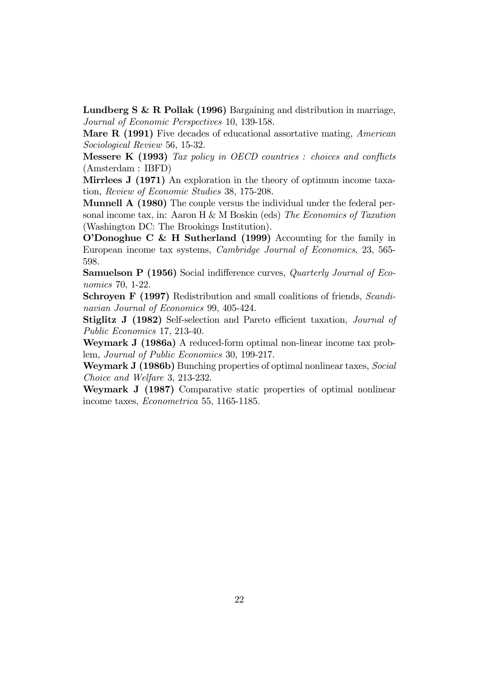Lundberg S & R Pollak (1996) Bargaining and distribution in marriage, Journal of Economic Perspectives 10, 139-158.

Mare R (1991) Five decades of educational assortative mating, American Sociological Review 56, 15-32.

Messere K (1993) Tax policy in OECD countries : choices and conflicts (Amsterdam : IBFD)

Mirrlees J (1971) An exploration in the theory of optimum income taxation, Review of Economic Studies 38, 175-208.

Munnell A (1980) The couple versus the individual under the federal personal income tax, in: Aaron H & M Boskin (eds) The Economics of Taxation (Washington DC: The Brookings Institution).

O'Donoghue C & H Sutherland (1999) Accounting for the family in European income tax systems, Cambridge Journal of Economics, 23, 565- 598.

Samuelson P (1956) Social indifference curves, Quarterly Journal of Economics 70, 1-22.

Schroyen F (1997) Redistribution and small coalitions of friends, Scandinavian Journal of Economics 99, 405-424.

Stiglitz J (1982) Self-selection and Pareto efficient taxation, Journal of Public Economics 17, 213-40.

Weymark J (1986a) A reduced-form optimal non-linear income tax problem, Journal of Public Economics 30, 199-217.

Weymark J (1986b) Bunching properties of optimal nonlinear taxes, Social Choice and Welfare 3, 213-232.

Weymark J (1987) Comparative static properties of optimal nonlinear income taxes, Econometrica 55, 1165-1185.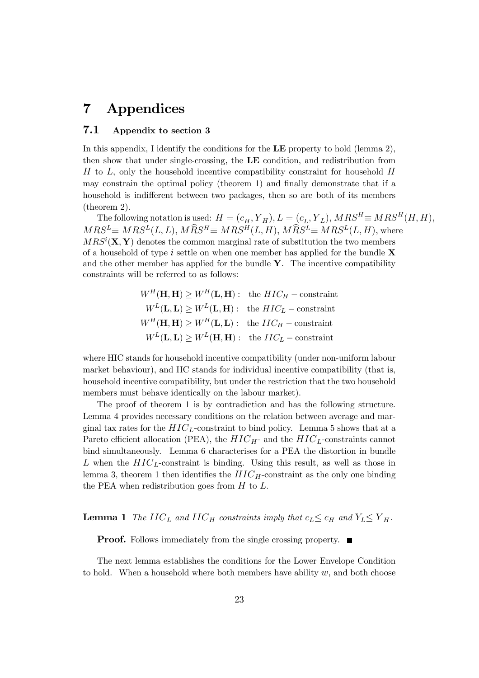## 7 Appendices

#### 7.1 Appendix to section 3

In this appendix, I identify the conditions for the  $LE$  property to hold (lemma 2), then show that under single-crossing, the LE condition, and redistribution from  $H$  to  $L$ , only the household incentive compatibility constraint for household  $H$ may constrain the optimal policy (theorem 1) and finally demonstrate that if a household is indifferent between two packages, then so are both of its members (theorem 2).

The following notation is used:  $H = (c_H, Y_H), L = (c_L, Y_L), MRS^H \equiv MRS^H(H, H),$  $MRS^{L} \equiv MRS^{L}(L, L), M\widehat{R}S^{H} \equiv MRS^{H}(L, H), M\widehat{R}S^{L} \equiv MRS^{L}(L, H),$  where  $MRS^{i}(\mathbf{X}, \mathbf{Y})$  denotes the common marginal rate of substitution the two members of a household of type i settle on when one member has applied for the bundle  $X$ and the other member has applied for the bundle  $\mathbf{Y}$ . The incentive compatibility constraints will be referred to as follows:

> $W^H(\mathbf{H}, \mathbf{H}) \geq W^H(\mathbf{L}, \mathbf{H})$ : the  $HIC_H$  – constraint  $W^L(\mathbf{L}, \mathbf{L}) \geq W^L(\mathbf{L}, \mathbf{H})$ : the  $HIC_L$  – constraint  $W^H(\mathbf{H}, \mathbf{H}) \geq W^H(\mathbf{L}, \mathbf{L})$ : the  $\textit{IIC}_H$  – constraint  $W^L(\mathbf{L}, \mathbf{L}) \geq W^L(\mathbf{H}, \mathbf{H})$ : the  $IIC_L$  – constraint

where HIC stands for household incentive compatibility (under non-uniform labour market behaviour), and IIC stands for individual incentive compatibility (that is, household incentive compatibility, but under the restriction that the two household members must behave identically on the labour market).

The proof of theorem 1 is by contradiction and has the following structure. Lemma 4 provides necessary conditions on the relation between average and marginal tax rates for the  $HIC_L$ -constraint to bind policy. Lemma 5 shows that at a Pareto efficient allocation (PEA), the  $HIC_H$ - and the  $HIC_L$ -constraints cannot bind simultaneously. Lemma 6 characterises for a PEA the distortion in bundle L when the  $HIC_L$ -constraint is binding. Using this result, as well as those in lemma 3, theorem 1 then identifies the  $HIC_H$ -constraint as the only one binding the PEA when redistribution goes from  $H$  to  $L$ .

**Lemma 1** The  $IIC_L$  and  $IIC_H$  constraints imply that  $c_L \leq c_H$  and  $Y_L \leq Y_H$ .

**Proof.** Follows immediately from the single crossing property.  $\blacksquare$ 

The next lemma establishes the conditions for the Lower Envelope Condition to hold. When a household where both members have ability  $w$ , and both choose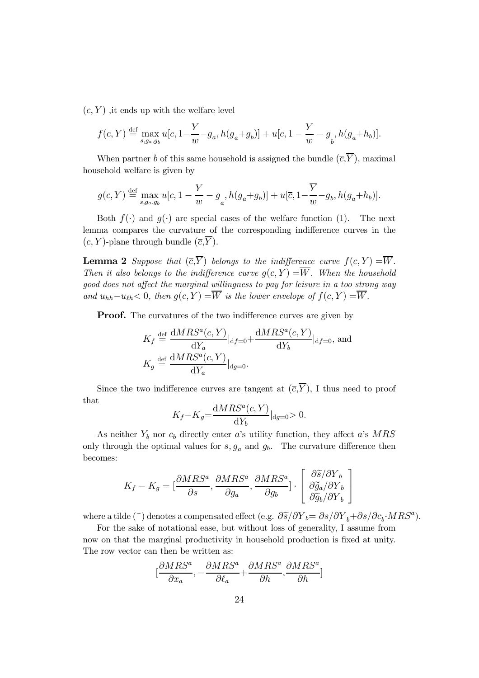$(c, Y)$ , it ends up with the welfare level

$$
f(c, Y) \stackrel{\text{def}}{=} \max_{s, g_a, g_b} u[c, 1 - \frac{Y}{w} - g_a, h(g_a + g_b)] + u[c, 1 - \frac{Y}{w} - g_b, h(g_a + h_b)].
$$

When partner b of this same household is assigned the bundle  $(\overline{c},\overline{Y})$ , maximal household welfare is given by

$$
g(c, Y) \stackrel{\text{def}}{=} \max_{s, g_a, g_b} u[c, 1 - \frac{Y}{w} - g_a, h(g_a + g_b)] + u[\overline{c}, 1 - \frac{\overline{Y}}{w} - g_b, h(g_a + h_b)].
$$

Both  $f(\cdot)$  and  $g(\cdot)$  are special cases of the welfare function (1). The next lemma compares the curvature of the corresponding indifference curves in the  $(c, Y)$ -plane through bundle  $(\overline{c}, \overline{Y})$ .

**Lemma 2** Suppose that  $(\overline{c}, \overline{Y})$  belongs to the indifference curve  $f(c, Y) = \overline{W}$ . Then it also belongs to the indifference curve  $g(c, Y) = \overline{W}$ . When the household good does not affect the marginal willingness to pay for leisure in a too strong way and  $u_{hh}-u_{\ell h} < 0$ , then  $g(c, Y) = \overline{W}$  is the lower envelope of  $f(c, Y) = \overline{W}$ .

Proof. The curvatures of the two indifference curves are given by

$$
K_f \stackrel{\text{def}}{=} \frac{dMRS^a(c, Y)}{dY_a}|_{df=0} + \frac{dMRS^a(c, Y)}{dY_b}|_{df=0}, \text{ and}
$$
  

$$
K_g \stackrel{\text{def}}{=} \frac{dMRS^a(c, Y)}{dY_a}|_{dg=0}.
$$

Since the two indifference curves are tangent at  $(\overline{c},\overline{Y})$ , I thus need to proof that

$$
K_f - K_g = \frac{\mathrm{d}MRS^a(c, Y)}{\mathrm{d}Y_b}|_{\mathrm{d}g = 0} > 0.
$$

As neither  $Y_b$  nor  $c_b$  directly enter a's utility function, they affect a's MRS only through the optimal values for  $s, g_a$  and  $g_b$ . The curvature difference then becomes:

$$
K_f - K_g = \left[\frac{\partial MRS^a}{\partial s}, \frac{\partial MRS^a}{\partial g_a}, \frac{\partial MRS^a}{\partial g_b}\right] \cdot \left[\begin{array}{c} \partial \widetilde{s}/\partial Y_b \\ \partial \widetilde{g}_a/\partial Y_b \\ \partial \widetilde{g}_b/\partial Y_b \end{array}\right]
$$

where a tilde (~) denotes a compensated effect (e.g.  $\partial \widetilde{s}/\partial Y_b = \partial s/\partial Y_b + \partial s/\partial c_b \cdot MRS^a$ ).

For the sake of notational ease, but without loss of generality, I assume from now on that the marginal productivity in household production is fixed at unity. The row vector can then be written as:

$$
[\frac{\partial MRS^a}{\partial x_a}, -\frac{\partial MRS^a}{\partial \ell_a} + \frac{\partial MRS^a}{\partial h}, \frac{\partial MRS^a}{\partial h}]
$$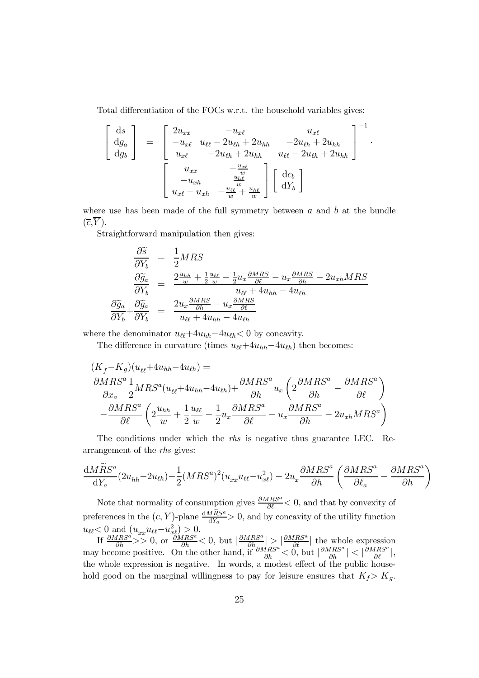Total differentiation of the FOCs w.r.t. the household variables gives:

$$
\begin{bmatrix}\nds \\
dg_a \\
dg_b\n\end{bmatrix} = \begin{bmatrix}\n2u_{xx} & -u_{x\ell} & u_{\ell\ell} \\
-u_{x\ell} & u_{\ell\ell} - 2u_{\ell h} + 2u_{hh} & -2u_{\ell h} + 2u_{hh} \\
u_{x\ell} & -2u_{\ell h} + 2u_{hh} & u_{\ell\ell} - 2u_{\ell h} + 2u_{hh}\n\end{bmatrix}^{-1}
$$
\n
$$
\begin{bmatrix}\nu_{xx} & -\frac{u_{x\ell}}{w} \\
-u_{xh} & \frac{u_{h\ell}}{w} \\
u_{x\ell} - u_{xh} & -\frac{u_{\ell\ell}}{w} + \frac{u_{h\ell}}{w}\n\end{bmatrix} \begin{bmatrix}\ndc_b \\
dY_b\n\end{bmatrix}
$$

·

where use has been made of the full symmetry between  $a$  and  $b$  at the bundle  $(\overline{c},\overline{Y})$ .

Straightforward manipulation then gives:

$$
\frac{\partial \widetilde{s}}{\partial Y_b} = \frac{1}{2} MRS
$$
\n
$$
\frac{\partial \widetilde{g}_a}{\partial Y_b} = \frac{2 \frac{u_{hh}}{w} + \frac{1}{2} \frac{u_{\ell\ell}}{w} - \frac{1}{2} u_x \frac{\partial MRS}{\partial \ell} - u_x \frac{\partial MRS}{\partial h} - 2u_{xh} MRS}{u_{\ell\ell} + 4u_{hh} - 4u_{\ell h}}
$$
\n
$$
\frac{\partial \widetilde{g}_a}{\partial Y_b} + \frac{\partial \widetilde{g}_a}{\partial Y_b} = \frac{2u_x \frac{\partial MRS}{\partial h} - u_x \frac{\partial MRS}{\partial \ell}}{u_{\ell\ell} + 4u_{hh} - 4u_{\ell h}}
$$

where the denominator  $u_{\ell\ell}+4u_{hh}-4u_{\ell h}< 0$  by concavity.

The difference in curvature (times  $u_{\ell\ell}+4u_{hh}-4u_{\ell h}$ ) then becomes:

$$
(K_f - K_g)(u_{\ell\ell} + 4u_{hh} - 4u_{\ell h}) =
$$
  
\n
$$
\frac{\partial MRS^a}{\partial x_a} \frac{1}{2} MRS^a (u_{\ell\ell} + 4u_{hh} - 4u_{\ell h}) + \frac{\partial MRS^a}{\partial h} u_x \left( 2 \frac{\partial MRS^a}{\partial h} - \frac{\partial MRS^a}{\partial \ell} \right)
$$
  
\n
$$
-\frac{\partial MRS^a}{\partial \ell} \left( 2 \frac{u_{hh}}{w} + \frac{1}{2} \frac{u_{\ell\ell}}{w} - \frac{1}{2} u_x \frac{\partial MRS^a}{\partial \ell} - u_x \frac{\partial MRS^a}{\partial h} - 2u_{xh} MRS^a \right)
$$

The conditions under which the *rhs* is negative thus guarantee LEC. Rearrangement of the rhs gives:

$$
\frac{\mathrm{d} M\widetilde{R}S^{a}}{\mathrm{d} Y_{a}}(2u_{hh}-2u_{\ell h})-\frac{1}{2}(M R S^{a})^{2}(u_{xx}u_{\ell \ell}-u_{x \ell}^{2})-2u_{x}\frac{\partial M R S^{a}}{\partial h}\left(\frac{\partial M R S^{a}}{\partial \ell_{a}}-\frac{\partial M R S^{a}}{\partial h}\right)
$$

Note that normality of consumption gives  $\frac{\partial MRS^a}{\partial \ell}$  < 0, and that by convexity of preferences in the  $(c, Y)$ -plane  $\frac{d\tilde{M}\tilde{R}S^a}{dY_a} > 0$ , and by concavity of the utility function  $u_{\ell\ell} < 0$  and  $(u_{xx}u_{\ell\ell} - u_{x\ell}^2) > 0.$ 

If  $\frac{\partial MRS^{\alpha}}{\partial h} > 0$ , or  $\frac{\partial MRS^{\alpha}}{\partial h} < 0$ , but  $\left| \frac{\partial MRS^{\alpha}}{\partial h} \right| > \left| \frac{\partial MRS^{\alpha}}{\partial \ell} \right|$  the whole expression may become positive. On the other hand, if  $\frac{\partial MRS^a}{\partial h} < 0$ , but  $\left| \frac{\partial MRS^a}{\partial h} \right| < \left| \frac{\partial MRS^a}{\partial \ell} \right|$ , the whole expression is negative. In words, a modest effect of the public household good on the marginal willingness to pay for leisure ensures that  $K_f > K_g$ .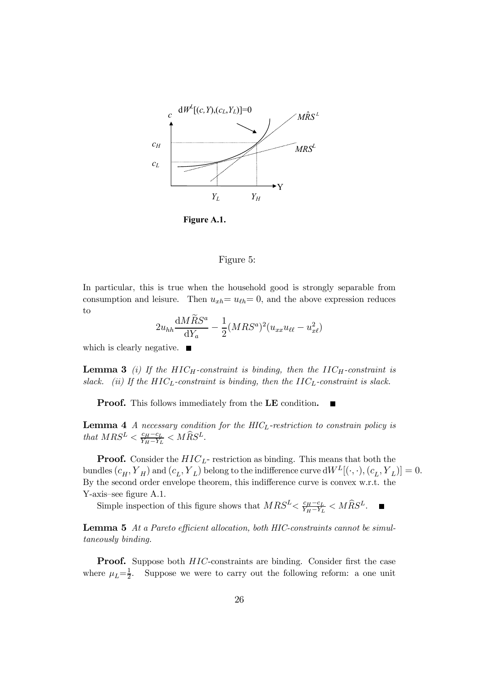

**Figure A.1.**

Figure 5:

In particular, this is true when the household good is strongly separable from consumption and leisure. Then  $u_{xh} = u_{\ell h} = 0$ , and the above expression reduces to

$$
2u_{hh}\frac{\mathrm{d}MRS^{a}}{\mathrm{d}Y_{a}} - \frac{1}{2}(MRS^{a})^{2}(u_{xx}u_{\ell\ell} - u_{x\ell}^{2})
$$

which is clearly negative.  $\blacksquare$ 

**Lemma 3** (i) If the HIC<sub>H</sub>-constraint is binding, then the  $\text{IIC}_H$ -constraint is slack. (ii) If the HIC<sub>L</sub>-constraint is binding, then the  $\text{HC}_L$ -constraint is slack.

Proof. This follows immediately from the LE condition.

**Lemma 4** A necessary condition for the  $HIC<sub>L</sub>$ -restriction to constrain policy is that  $MRS^L < \frac{c_H - c_L}{Y_H - Y_L} < M\widehat{R}S^L$ .

**Proof.** Consider the  $HIC<sub>L</sub>$ - restriction as binding. This means that both the bundles  $(c_H, Y_H)$  and  $(c_L, Y_L)$  belong to the indifference curve  $dW^L[(\cdot, \cdot), (c_L, Y_L)] = 0$ . By the second order envelope theorem, this indifference curve is convex w.r.t. the Y-axis—see figure A.1.

Simple inspection of this figure shows that  $MRS^L < \frac{c_H - c_L}{Y_H - Y_L} < M\widehat{R}S^L$ .

Lemma 5 At a Pareto efficient allocation, both HIC-constraints cannot be simultaneously binding.

**Proof.** Suppose both HIC-constraints are binding. Consider first the case where  $\mu_L = \frac{1}{2}$ . Suppose we were to carry out the following reform: a one unit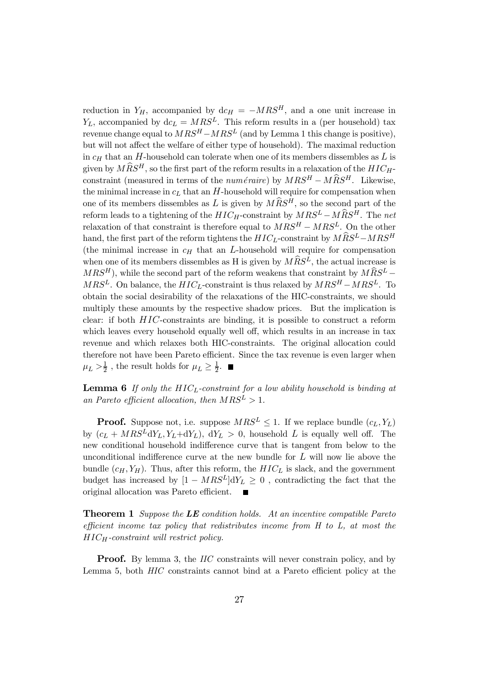reduction in  $Y_H$ , accompanied by  $dc_H = -MRS^H$ , and a one unit increase in  $Y_L$ , accompanied by  $dc_L = MRS^L$ . This reform results in a (per household) tax revenue change equal to  $MRS^H - MRS^L$  (and by Lemma 1 this change is positive), but will not affect the welfare of either type of household). The maximal reduction in  $c_H$  that an H-household can tolerate when one of its members dissembles as L is given by  $M\widehat{R}S^H$ , so the first part of the reform results in a relaxation of the  $HIC_H$ constraint (measured in terms of the  $numéraire$ ) by  $MRS^H - M\hat{R}S^H$ . Likewise, the minimal increase in  $c<sub>L</sub>$  that an H-household will require for compensation when one of its members dissembles as L is given by  $M\widehat{R}S^H$ , so the second part of the reform leads to a tightening of the  $HIC_H$ -constraint by  $MRS^L - M\widehat{R}S^H$ . The net relaxation of that constraint is therefore equal to  $MRS^H - MRS^L$ . On the other hand, the first part of the reform tightens the  $HIC_L$ -constraint by  $M\widehat{R}S^L - MRS^H$ (the minimal increase in  $c_H$  that an L-household will require for compensation when one of its members dissembles as H is given by  $M\widehat{R}S^{L}$ , the actual increase is  $MRS^H$ ), while the second part of the reform weakens that constraint by  $M\widehat{R}S^L$  –  $MRS^L$ . On balance, the  $HIC_L$ -constraint is thus relaxed by  $MRS^H - MRS^L$ . To obtain the social desirability of the relaxations of the HIC-constraints, we should multiply these amounts by the respective shadow prices. But the implication is clear: if both  $HIC$ -constraints are binding, it is possible to construct a reform which leaves every household equally well off, which results in an increase in tax revenue and which relaxes both HIC-constraints. The original allocation could therefore not have been Pareto efficient. Since the tax revenue is even larger when  $\mu_L > \frac{1}{2}$ , the result holds for  $\mu_L \geq \frac{1}{2}$ .

**Lemma 6** If only the  $HIC<sub>L</sub>$ -constraint for a low ability household is binding at an Pareto efficient allocation, then  $MRS^L > 1$ .

**Proof.** Suppose not, i.e. suppose  $MRS^L \leq 1$ . If we replace bundle  $(c_L, Y_L)$ by  $(c_L + MRS^{L} dY_L, Y_L + dY_L)$ ,  $dY_L > 0$ , household L is equally well off. The new conditional household indifference curve that is tangent from below to the unconditional indifference curve at the new bundle for  $L$  will now lie above the bundle  $(c_H, Y_H)$ . Thus, after this reform, the  $HIC_L$  is slack, and the government budget has increased by  $[1 - MRS^L]dY_L \geq 0$ , contradicting the fact that the original allocation was Pareto efficient.

**Theorem 1** Suppose the LE condition holds. At an incentive compatible Pareto efficient income tax policy that redistributes income from H to L, at most the  $HIC<sub>H</sub>$ -constraint will restrict policy.

**Proof.** By lemma 3, the *IIC* constraints will never constrain policy, and by Lemma 5, both HIC constraints cannot bind at a Pareto efficient policy at the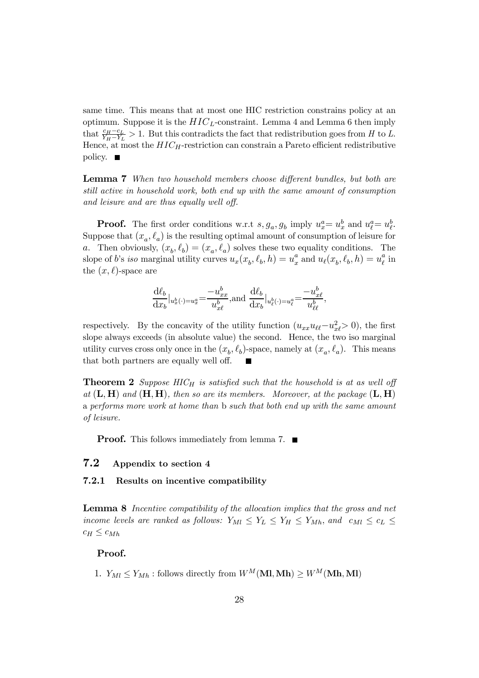same time. This means that at most one HIC restriction constrains policy at an optimum. Suppose it is the  $HIC<sub>L</sub>$ -constraint. Lemma 4 and Lemma 6 then imply that  $\frac{c_H-c_L}{Y_H-Y_L} > 1$ . But this contradicts the fact that redistribution goes from H to L. Hence, at most the  $HIC_H$ -restriction can constrain a Pareto efficient redistributive policy.  $\blacksquare$ 

Lemma 7 When two household members choose different bundles, but both are still active in household work, both end up with the same amount of consumption and leisure and are thus equally well off.

**Proof.** The first order conditions w.r.t  $s, g_a, g_b$  imply  $u_x^a = u_x^b$  and  $u_\ell^a = u_\ell^b$ . Suppose that  $(x_a, \ell_a)$  is the resulting optimal amount of consumption of leisure for a. Then obviously,  $(x_b, \ell_b)=(x_a, \ell_a)$  solves these two equality conditions. The slope of b's iso marginal utility curves  $u_x(x_b, \ell_b, h) = u_x^a$  and  $u_\ell(x_b, \ell_b, h) = u_\ell^a$  in the  $(x, \ell)$ -space are

$$
\frac{\mathrm{d}\ell_b}{\mathrm{d}x_b}|_{u_x^b(\cdot) = u_x^a} = \frac{-u_{xx}^b}{u_{x\ell}^b}, \text{and } \frac{\mathrm{d}\ell_b}{\mathrm{d}x_b}|_{u_\ell^b(\cdot) = u_\ell^a} = \frac{-u_{x\ell}^b}{u_{\ell\ell}^b},
$$

respectively. By the concavity of the utility function  $(u_{xx}u_{\ell\ell}-u_{x\ell}^2>0)$ , the first slope always exceeds (in absolute value) the second. Hence, the two iso marginal utility curves cross only once in the  $(x_b, \ell_b)$ -space, namely at  $(x_a, \ell_a)$ . This means that both partners are equally well off. п

**Theorem 2** Suppose  $HIC_H$  is satisfied such that the household is at as well off at  $(\mathbf{L}, \mathbf{H})$  and  $(\mathbf{H}, \mathbf{H})$ , then so are its members. Moreover, at the package  $(\mathbf{L}, \mathbf{H})$ a performs more work at home than b such that both end up with the same amount of leisure.

**Proof.** This follows immediately from lemma 7.  $\blacksquare$ 

#### 7.2 Appendix to section 4

#### 7.2.1 Results on incentive compatibility

Lemma 8 Incentive compatibility of the allocation implies that the gross and net income levels are ranked as follows:  $Y_{M1} \leq Y_L \leq Y_H \leq Y_{Mh}$ , and  $c_{M1} \leq c_L \leq$  $c_H \leq c_{Mh}$ 

#### Proof.

1.  $Y_{Ml} \leq Y_{Mh}$ : follows directly from  $W^M(\mathbf{Ml},\mathbf{Mh}) \geq W^M(\mathbf{Mh},\mathbf{Ml})$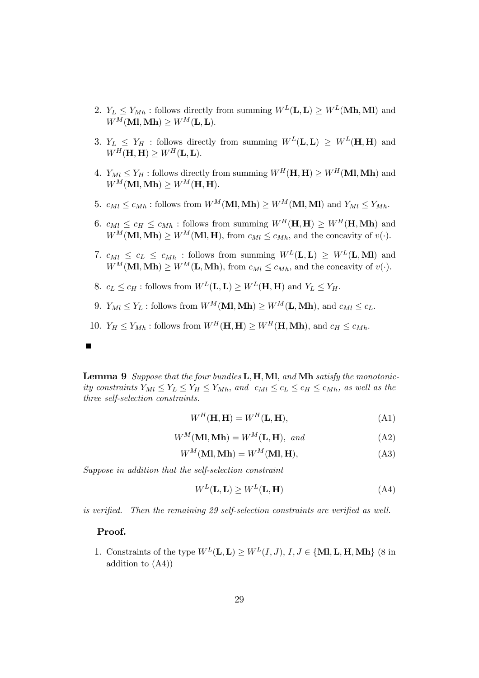- 2.  $Y_L \le Y_{Mh}$ : follows directly from summing  $W^L(\mathbf{L}, \mathbf{L}) \ge W^L(\mathbf{Mh}, \mathbf{Ml})$  and  $W^M(\mathbf{Ml},\mathbf{Mh}) \geq W^M(\mathbf{L},\mathbf{L}).$
- 3.  $Y_L \leq Y_H$ : follows directly from summing  $W^L(\mathbf{L}, \mathbf{L}) \geq W^L(\mathbf{H}, \mathbf{H})$  and  $W^H(\mathbf{H}, \mathbf{H}) \geq W^H(\mathbf{L}, \mathbf{L}).$
- 4.  $Y_{M} \leq Y_H$ : follows directly from summing  $W^H(\mathbf{H}, \mathbf{H}) \geq W^H(\mathbf{M}\mathbf{l}, \mathbf{M}\mathbf{h})$  and  $W^M(\mathbf{Ml},\mathbf{Mh}) \geq W^M(\mathbf{H},\mathbf{H}).$
- 5.  $c_{Ml} \leq c_{Mh}$ : follows from  $W^M(\textbf{Ml},\textbf{Mh}) \geq W^M(\textbf{Ml},\textbf{Ml})$  and  $Y_{Ml} \leq Y_{Mh}$ .
- 6.  $c_{Ml} \leq c_H \leq c_{Mh}$ : follows from summing  $W^H(\mathbf{H}, \mathbf{H}) \geq W^H(\mathbf{H}, \mathbf{Mh})$  and  $W^M(\mathbf{M}, \mathbf{Mh}) \geq W^M(\mathbf{M}, \mathbf{H})$ , from  $c_{Ml} \leq c_{Mh}$ , and the concavity of  $v(\cdot)$ .
- 7.  $c_{Ml} \leq c_L \leq c_{Mh}$ : follows from summing  $W^L(\mathbf{L}, \mathbf{L}) \geq W^L(\mathbf{L}, \mathbf{M}^2)$  and  $W^M(\mathbf{Ml},\mathbf{Mh}) \geq W^M(\mathbf{L},\mathbf{Mh})$ , from  $c_{Ml} \leq c_{Mh}$ , and the concavity of  $v(\cdot)$ .
- 8.  $c_L \leq c_H$ : follows from  $W^L(\mathbf{L}, \mathbf{L}) \geq W^L(\mathbf{H}, \mathbf{H})$  and  $Y_L \leq Y_H$ .
- 9.  $Y_{M} \leq Y_L$ : follows from  $W^M(\mathbf{M}, \mathbf{M}\mathbf{h}) \geq W^M(\mathbf{L}, \mathbf{M}\mathbf{h})$ , and  $c_{M} \leq c_L$ .
- 10.  $Y_H \leq Y_{Mh}$ : follows from  $W^H(\mathbf{H}, \mathbf{H}) \geq W^H(\mathbf{H}, \mathbf{Mh})$ , and  $c_H \leq c_{Mh}$ .

**Lemma 9** Suppose that the four bundles  $L, H, M$ , and Mh satisfy the monotonicity constraints  $Y_{M} \leq Y_L \leq Y_H \leq Y_{Mh}$ , and  $c_{M} \leq c_L \leq c_H \leq c_{Mh}$ , as well as the three self-selection constraints.

$$
W^H(\mathbf{H}, \mathbf{H}) = W^H(\mathbf{L}, \mathbf{H}),\tag{A1}
$$

$$
W^M(\mathbf{M}\mathbf{l}, \mathbf{M}\mathbf{h}) = W^M(\mathbf{L}, \mathbf{H}), \text{ and}
$$
 (A2)

$$
W^M(\mathbf{M}\mathbf{l}, \mathbf{M}\mathbf{h}) = W^M(\mathbf{M}\mathbf{l}, \mathbf{H}),\tag{A3}
$$

Suppose in addition that the self-selection constraint

$$
W^{L}(\mathbf{L}, \mathbf{L}) \ge W^{L}(\mathbf{L}, \mathbf{H})
$$
 (A4)

is verified. Then the remaining 29 self-selection constraints are verified as well.

#### Proof.

1. Constraints of the type  $W^L(\mathbf{L}, \mathbf{L}) \geq W^L(I, J), I, J \in \{M\mathbf{l}, \mathbf{L}, \mathbf{H}, \mathbf{Mh}\}$  (8 in addition to (A4))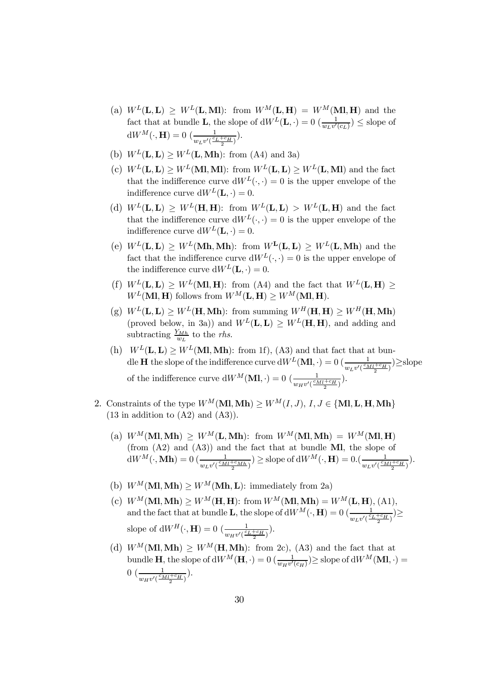- (a)  $W^L(\mathbf{L}, \mathbf{L}) \geq W^L(\mathbf{L}, \mathbf{M}!)$ : from  $W^M(\mathbf{L}, \mathbf{H}) = W^M(\mathbf{M}, \mathbf{H})$  and the fact that at bundle **L**, the slope of  $dW^L(\mathbf{L}, \cdot) = 0 \left( \frac{1}{w_L v'(c_L)} \right) \le$  slope of  $\mathrm{d}W^M(\cdot,\mathbf{H})=0 \; (\frac{1}{w_L v'(\frac{c_L+c_H}{2})}).$
- (b)  $W^L(\mathbf{L}, \mathbf{L}) \geq W^L(\mathbf{L}, \mathbf{M}\mathbf{h})$ : from (A4) and 3a)
- (c)  $W^L(\mathbf{L}, \mathbf{L}) \geq W^L(\mathbf{M}, \mathbf{M})$ : from  $W^L(\mathbf{L}, \mathbf{L}) \geq W^L(\mathbf{L}, \mathbf{M})$  and the fact that the indifference curve  $dW^L(\cdot, \cdot)=0$  is the upper envelope of the indifference curve  $dW^L(\mathbf{L}, \cdot)=0$ .
- (d)  $W^L(\mathbf{L}, \mathbf{L}) \geq W^L(\mathbf{H}, \mathbf{H})$ : from  $W^L(\mathbf{L}, \mathbf{L}) > W^L(\mathbf{L}, \mathbf{H})$  and the fact that the indifference curve  $dW^L(\cdot, \cdot)=0$  is the upper envelope of the indifference curve  $dW^L(\mathbf{L}, \cdot) = 0$ .
- (e)  $W^L(\mathbf{L}, \mathbf{L}) \geq W^L(\mathbf{Mh}, \mathbf{Mh})$ : from  $W^L(\mathbf{L}, \mathbf{L}) \geq W^L(\mathbf{L}, \mathbf{Mh})$  and the fact that the indifference curve  $dW^L(\cdot, \cdot)=0$  is the upper envelope of the indifference curve  $dW^L(\mathbf{L}, \cdot)=0$ .
- (f)  $W^L(\mathbf{L}, \mathbf{L}) > W^L(\mathbf{M}, \mathbf{H})$ : from (A4) and the fact that  $W^L(\mathbf{L}, \mathbf{H}) >$  $W^L(\mathbf{M}, \mathbf{H})$  follows from  $W^M(\mathbf{L}, \mathbf{H}) > W^M(\mathbf{M}, \mathbf{H}).$
- (g)  $W^L(\mathbf{L}, \mathbf{L}) \geq W^L(\mathbf{H}, \mathbf{Mh})$ : from summing  $W^H(\mathbf{H}, \mathbf{H}) \geq W^H(\mathbf{H}, \mathbf{Mh})$ (proved below, in 3a)) and  $W<sup>L</sup>(L, L) \geq W<sup>L</sup>(H, H)$ , and adding and subtracting  $\frac{Y_{Mh}}{w_L}$  to the rhs.
- (h)  $W^L(\mathbf{L}, \mathbf{L}) \geq W^L(\mathbf{M}, \mathbf{M}\mathbf{h})$ : from 1f), (A3) and that fact that at bundle **H** the slope of the indifference curve  $dW^L(\mathbf{M}l, \cdot) = 0 \left( \frac{1}{w_L v'(\frac{c_M l+c_H}{2})} \right) \ge \text{slope}$ of the indifference curve  $dW^M(\mathbf{M}l, \cdot) = 0 \left( \frac{1}{w_H v'(\frac{c_M l + c_H}{2})} \right)$ .
- 2. Constraints of the type  $W^M(\mathbf{M} \mathbf{l}, \mathbf{M} \mathbf{h}) \geq W^M(I, J), I, J \in \{ \mathbf{M} \mathbf{l}, \mathbf{L}, \mathbf{H}, \mathbf{M} \mathbf{h} \}$  $(13 \text{ in addition to } (A2) \text{ and } (A3)).$ 
	- (a)  $W^M(\mathbf{M}, \mathbf{M}\mathbf{h}) \geq W^M(\mathbf{L}, \mathbf{M}\mathbf{h})$ : from  $W^M(\mathbf{M}, \mathbf{M}\mathbf{h}) = W^M(\mathbf{M}, \mathbf{H})$ (from (A2) and (A3)) and the fact that at bundle Ml, the slope of  $\mathrm{d}W^M(\cdot,\mathbf{M}\mathbf{h})=0 \left( \frac{1}{w_L v'(\frac{c_M+\epsilon_{M\mathbf{h}}}{2})}\right) \geq \mathrm{slope\ of\ d}W^M(\cdot,\mathbf{H})=0.(\frac{1}{w_L v'(\frac{c_M+\epsilon_H}{2})}).$
	- (b)  $W^M(\textbf{Ml},\textbf{Mh}) \geq W^M(\textbf{Mh},\textbf{L})$ : immediately from 2a)
	- (c)  $W^M(\mathbf{M}, \mathbf{Mh}) \geq W^M(\mathbf{H}, \mathbf{H})$ : from  $W^M(\mathbf{M}, \mathbf{Mh}) = W^M(\mathbf{L}, \mathbf{H})$ , (A1), and the fact that at bundle **L**, the slope of  $dW^M(\cdot, \mathbf{H}) = 0 \left( \frac{1}{w_L v'(\frac{c_L+c_H}{2})} \right) \ge$ slope of  $dW^H(\cdot, \mathbf{H}) = 0 \left( \frac{1}{w_H v'(\frac{c_L+c_H}{2})} \right)$ .
	- (d)  $W^M(\mathbf{M}, \mathbf{M}\mathbf{h}) \geq W^M(\mathbf{H}, \mathbf{M}\mathbf{h})$ : from 2c), (A3) and the fact that at bundle  ${\bf H},$  the slope of d $W^M({\bf H},\cdot)=0$   $(\frac{1}{w_Hv'(c_H)})$   $\geq$  slope of d $W^M({\bf M},\cdot)=$  $0 \left( \frac{1}{w_H v'(\frac{c_M t + c_H}{2})} \right)$ .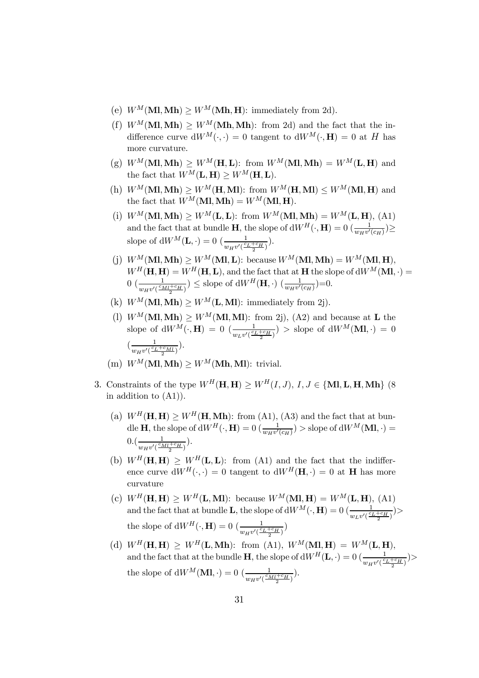- (e)  $W^M(\textbf{Ml},\textbf{Mh}) \geq W^M(\textbf{Mh},\textbf{H})$ : immediately from 2d).
- (f)  $W^M(\mathbf{Ml},\mathbf{Mh}) \geq W^M(\mathbf{Mh},\mathbf{Mh})$ : from 2d) and the fact that the indifference curve  $dW^M(\cdot, \cdot)=0$  tangent to  $dW^M(\cdot, \mathbf{H})=0$  at H has more curvature.
- (g)  $W^M(\mathbf{M}, \mathbf{M}) > W^M(\mathbf{H}, \mathbf{L})$ : from  $W^M(\mathbf{M}, \mathbf{M}) = W^M(\mathbf{L}, \mathbf{H})$  and the fact that  $W^M(\mathbf{L}, \mathbf{H}) > W^M(\mathbf{H}, \mathbf{L}).$
- (h)  $W^M(\mathbf{M}, \mathbf{M}) \geq W^M(\mathbf{H}, \mathbf{M})$ : from  $W^M(\mathbf{H}, \mathbf{M}) \leq W^M(\mathbf{M}, \mathbf{H})$  and the fact that  $W^M(\mathbf{M}\mathbf{l},\mathbf{M}\mathbf{h}) = W^M(\mathbf{M}\mathbf{l},\mathbf{H}).$
- (i)  $W^M(\mathbf{M}, \mathbf{M}\mathbf{h}) > W^M(\mathbf{L}, \mathbf{L})$ : from  $W^M(\mathbf{M}, \mathbf{M}\mathbf{h}) = W^M(\mathbf{L}, \mathbf{H})$ , (A1) and the fact that at bundle **H**, the slope of  $dW^H(\cdot, \mathbf{H})=0$   $\left(\frac{1}{w_Hv'(c_H)}\right) \ge$ slope of  $dW^M(\mathbf{L}, \cdot) = 0 \left( \frac{1}{w_H v'(\frac{c_L+c_H}{2})} \right)$ .
- (i)  $W^M(\mathbf{M}, \mathbf{M}) > W^M(\mathbf{M}, \mathbf{L})$ : because  $W^M(\mathbf{M}, \mathbf{M}) = W^M(\mathbf{M}, \mathbf{H})$ ,  $W^H(\mathbf{H}, \mathbf{H}) = W^H(\mathbf{H}, \mathbf{L})$ , and the fact that at  $\mathbf{H}$  the slope of  $dW^M(\mathbf{M}, \cdot) =$  $0 \left( \frac{1}{w_H v'(\frac{c_M}{2} + c_H)} \right) \le$  slope of  $dW^H(\mathbf{H}, \cdot) \left( \frac{1}{w_H v'(c_H)} \right) = 0.$
- (k)  $W^M(\mathbf{M}, \mathbf{M}) \geq W^M(\mathbf{L}, \mathbf{M})$ : immediately from 2j).
- (l)  $W^M(\textbf{Ml},\textbf{Mh}) \geq W^M(\textbf{Ml},\textbf{Ml})$ : from 2j), (A2) and because at **L** the slope of  $dW^M(\cdot, H) = 0 \left( \frac{1}{w_L v'(\frac{c_L+c_H}{2})} \right) >$  slope of  $dW^M(M, \cdot) = 0$  $(\frac{1}{w_H v'(\frac{c_L+c_Ml}{2})})$ ).

(m) 
$$
W^M(\mathbf{M}\mathbf{l}, \mathbf{M}\mathbf{h}) \geq W^M(\mathbf{M}\mathbf{h}, \mathbf{M}\mathbf{l})
$$
: trivial.

- 3. Constraints of the type  $W^H(\mathbf{H}, \mathbf{H}) \geq W^H(I, J), I, J \in \{\mathbf{Ml}, \mathbf{L}, \mathbf{H}, \mathbf{Mh}\}$  (8 in addition to (A1)).
	- (a)  $W^H(\mathbf{H}, \mathbf{H}) \geq W^H(\mathbf{H}, \mathbf{Mh})$ : from (A1), (A3) and the fact that at bundle **H**, the slope of  $dW^H(\cdot, H) = 0$   $\left(\frac{1}{w_Hv'(c_H)}\right) >$  slope of  $dW^M(\textbf{Ml}, \cdot) =$  $0.(\frac{1}{w_H v'(\frac{c_M t + c_H}{2})}).$
	- (b)  $W^H(\mathbf{H}, \mathbf{H}) \geq W^H(\mathbf{L}, \mathbf{L})$ : from (A1) and the fact that the indifference curve  $dW^H(\cdot, \cdot)=0$  tangent to  $dW^H(\mathbf{H}, \cdot)=0$  at **H** has more curvature
	- (c)  $W^H(\mathbf{H}, \mathbf{H}) \geq W^H(\mathbf{L}, \mathbf{M})$ : because  $W^M(\mathbf{M}, \mathbf{H}) = W^M(\mathbf{L}, \mathbf{H})$ , (A1) and the fact that at bundle **L**, the slope of  $dW^M(\cdot, \mathbf{H}) = 0 \left( \frac{1}{w_L v'(\frac{c_L+c_H}{2})} \right)$ > the slope of  $\mathrm{d}W^H(\cdot, \mathbf{H})=0 \left( \frac{1}{w_H v'(\frac{c_L+c_H}{2})} \right)$
	- (d)  $W^H(\mathbf{H}, \mathbf{H}) \geq W^H(\mathbf{L}, \mathbf{Mh})$ : from (A1),  $W^M(\mathbf{M}, \mathbf{H}) = W^M(\mathbf{L}, \mathbf{H}),$ and the fact that at the bundle **H**, the slope of  $dW^H(\mathbf{L}, \cdot) = 0 \left( \frac{1}{w_H v'(\frac{c_L+c_H}{2})} \right)$ the slope of  $dW^M(\mathbf{M}l, \cdot) = 0 \left( \frac{1}{w_H v'(\frac{c_M l + c_H}{2})} \right)$ .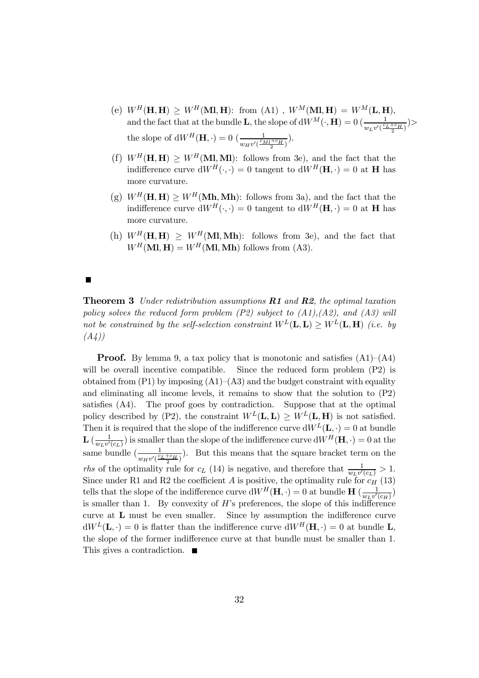- (e)  $W^H(\mathbf{H}, \mathbf{H}) \geq W^H(\mathbf{M}\mathbf{I}, \mathbf{H})$ : from (A1),  $W^M(\mathbf{M}\mathbf{I}, \mathbf{H}) = W^M(\mathbf{L}, \mathbf{H})$ , and the fact that at the bundle **L**, the slope of  $dW^M(\cdot, \mathbf{H})=0$   $\left(\frac{1}{w_L v'(\frac{c_L+c_H}{2})}\right)$ > the slope of  $dW^H(\mathbf{H}, \cdot) = 0 \left( \frac{1}{w_H v'(\frac{c_M t + c_H}{2})} \right)$ .
- (f)  $W^H(\mathbf{H}, \mathbf{H}) \geq W^H(\mathbf{M}\mathbf{I}, \mathbf{M}\mathbf{I})$ : follows from 3e), and the fact that the indifference curve  $dW^H(\cdot, \cdot)=0$  tangent to  $dW^H(\mathbf{H}, \cdot)=0$  at **H** has more curvature.
- (g)  $W^H(\mathbf{H}, \mathbf{H}) \geq W^H(\mathbf{Mh}, \mathbf{Mh})$ : follows from 3a), and the fact that the indifference curve  $dW^H(\cdot,\cdot)=0$  tangent to  $dW^H(\mathbf{H},\cdot)=0$  at **H** has more curvature.
- (h)  $W^H(\mathbf{H}, \mathbf{H}) > W^H(\mathbf{M}, \mathbf{M})$ : follows from 3e), and the fact that  $W^H(\mathbf{Ml}, \mathbf{H}) = W^H(\mathbf{Ml}, \mathbf{Mh})$  follows from (A3).

Theorem 3 Under redistribution assumptions R1 and R2, the optimal taxation policy solves the reduced form problem  $(P2)$  subject to  $(A1), (A2),$  and  $(A3)$  will not be constrained by the self-selection constraint  $W<sup>L</sup>(L,L) > W<sup>L</sup>(L,H)$  (i.e. by  $(A4)$ 

Г

**Proof.** By lemma 9, a tax policy that is monotonic and satisfies  $(A1)$ – $(A4)$ will be overall incentive compatible. Since the reduced form problem  $(P2)$  is obtained from  $(P1)$  by imposing  $(A1)$ – $(A3)$  and the budget constraint with equality and eliminating all income levels, it remains to show that the solution to (P2) satisfies (A4). The proof goes by contradiction. Suppose that at the optimal policy described by (P2), the constraint  $W<sup>L</sup>(L, L) \geq W<sup>L</sup>(L, H)$  is not satisfied. Then it is required that the slope of the indifference curve  $dW^L(\mathbf{L}, \cdot) = 0$  at bundle  $\mathbf{L}\left(\frac{1}{w_Lv'(c_L)}\right)$  is smaller than the slope of the indifference curve  $\mathrm{d}W^H(\mathbf{H},\cdot)=0$  at the same bundle  $\left(\frac{1}{w_H v'(\frac{c_L+c_H}{2})}\right)$ . But this means that the square bracket term on the rhs of the optimality rule for  $c_L$  (14) is negative, and therefore that  $\frac{1}{w_L v'(c_L)} > 1$ . Since under R1 and R2 the coefficient A is positive, the optimality rule for  $c_H$  (13) tells that the slope of the indifference curve  $dW^H(\mathbf{H}, \cdot) = 0$  at bundle  $\mathbf{H}$   $\left( \frac{1}{w_L v'(c_H)} \right)$ is smaller than 1. By convexity of  $H$ 's preferences, the slope of this indifference curve at L must be even smaller. Since by assumption the indifference curve  $dW<sup>L</sup>(**L**, ·) = 0$  is flatter than the indifference curve  $dW<sup>H</sup>(**H**, ·) = 0$  at bundle **L**, the slope of the former indifference curve at that bundle must be smaller than 1. This gives a contradiction. ■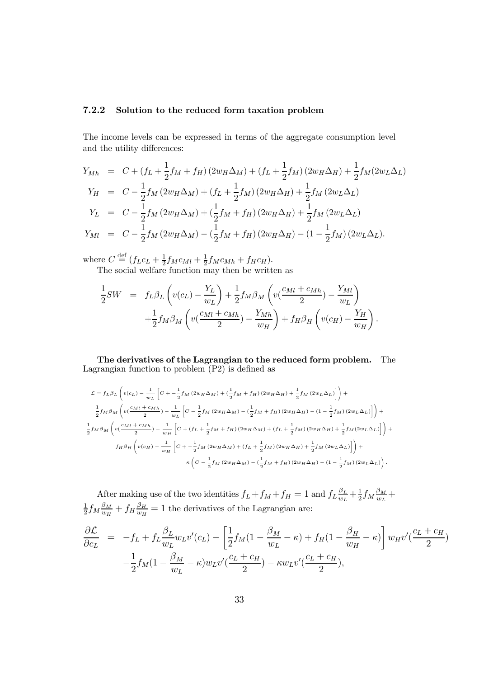#### 7.2.2 Solution to the reduced form taxation problem

The income levels can be expressed in terms of the aggregate consumption level and the utility differences:

$$
Y_{Mh} = C + (f_L + \frac{1}{2}f_M + f_H) (2w_H \Delta_M) + (f_L + \frac{1}{2}f_M) (2w_H \Delta_H) + \frac{1}{2}f_M (2w_L \Delta_L)
$$
  
\n
$$
Y_H = C - \frac{1}{2}f_M (2w_H \Delta_M) + (f_L + \frac{1}{2}f_M) (2w_H \Delta_H) + \frac{1}{2}f_M (2w_L \Delta_L)
$$
  
\n
$$
Y_L = C - \frac{1}{2}f_M (2w_H \Delta_M) + (\frac{1}{2}f_M + f_H) (2w_H \Delta_H) + \frac{1}{2}f_M (2w_L \Delta_L)
$$
  
\n
$$
Y_{Ml} = C - \frac{1}{2}f_M (2w_H \Delta_M) - (\frac{1}{2}f_M + f_H) (2w_H \Delta_H) - (1 - \frac{1}{2}f_M) (2w_L \Delta_L).
$$

where  $C \stackrel{\text{def}}{=} (f_L c_L + \frac{1}{2} f_M c_{Ml} + \frac{1}{2} f_M c_{Mh} + f_H c_H).$ The social welfare function may then be written as

$$
\frac{1}{2}SW = f_L\beta_L \left(v(c_L) - \frac{Y_L}{w_L}\right) + \frac{1}{2}f_M\beta_M \left(v(\frac{c_{Ml} + c_{Mh}}{2}) - \frac{Y_{Ml}}{w_L}\right) + \frac{1}{2}f_M\beta_M \left(v(\frac{c_{Ml} + c_{Mh}}{2}) - \frac{Y_{Mh}}{w_H}\right) + f_H\beta_H \left(v(c_H) - \frac{Y_H}{w_H}\right).
$$

The derivatives of the Lagrangian to the reduced form problem. The Lagrangian function to problem  $(P2)$  is defined as

$$
\mathcal{L} = f_L \beta_L \left( v(c_L) - \frac{1}{w_L} \left[ C + \frac{1}{2} f_M (2w_H \Delta_M) + (\frac{1}{2} f_M + f_H) (2w_H \Delta_H) + \frac{1}{2} f_M (2w_L \Delta_L) \right] \right) +
$$
  

$$
\frac{1}{2} f_M \beta_M \left( v(\frac{c_{Ml} + c_{Mh}}{2}) - \frac{1}{w_L} \left[ C - \frac{1}{2} f_M (2w_H \Delta_M) - (\frac{1}{2} f_M + f_H) (2w_H \Delta_H) - (1 - \frac{1}{2} f_M) (2w_L \Delta_L) \right] \right) +
$$
  

$$
\frac{1}{2} f_M \beta_M \left( v(\frac{c_{Ml} + c_{Mh}}{2}) - \frac{1}{w_H} \left[ C + (f_L + \frac{1}{2} f_M + f_H) (2w_H \Delta_M) + (f_L + \frac{1}{2} f_M) (2w_H \Delta_H) + \frac{1}{2} f_M (2w_L \Delta_L) \right] \right) +
$$
  

$$
f_H \beta_H \left( v(c_H) - \frac{1}{w_H} \left[ C + \frac{1}{2} f_M (2w_H \Delta_M) + (f_L + \frac{1}{2} f_M) (2w_H \Delta_H) + \frac{1}{2} f_M (2w_L \Delta_L) \right] \right) +
$$
  

$$
\kappa \left( C - \frac{1}{2} f_M (2w_H \Delta_M) - (\frac{1}{2} f_M + f_H) (2w_H \Delta_H) - (1 - \frac{1}{2} f_M) (2w_L \Delta_L) \right).
$$

After making use of the two identities  $f_L + f_M + f_H = 1$  and  $f_L \frac{\beta_L}{w_L} + \frac{1}{2} f_M \frac{\beta_M}{w_L} +$  $\frac{1}{2} f_M \frac{\beta_M}{w_H} + f_H \frac{\beta_H}{w_H} = 1$  the derivatives of the Lagrangian are:

$$
\frac{\partial \mathcal{L}}{\partial c_L} = -f_L + f_L \frac{\beta_L}{w_L} w_L v'(c_L) - \left[ \frac{1}{2} f_M (1 - \frac{\beta_M}{w_L} - \kappa) + f_H (1 - \frac{\beta_H}{w_H} - \kappa) \right] w_H v'(\frac{c_L + c_H}{2}) \n- \frac{1}{2} f_M (1 - \frac{\beta_M}{w_L} - \kappa) w_L v'(\frac{c_L + c_H}{2}) - \kappa w_L v'(\frac{c_L + c_H}{2}),
$$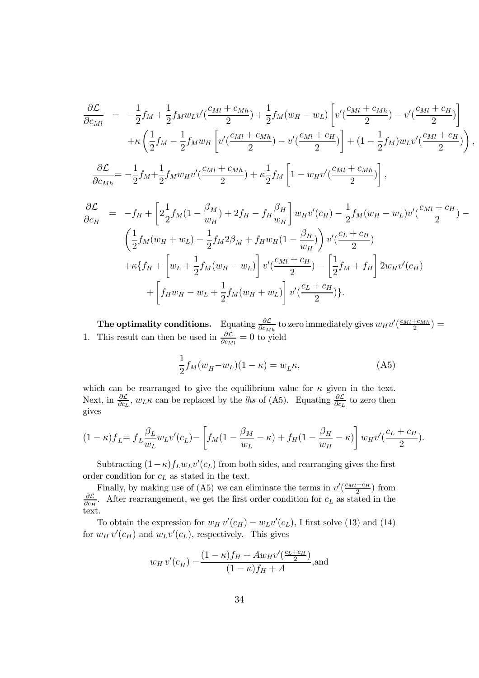$$
\frac{\partial \mathcal{L}}{\partial c_{Ml}} = -\frac{1}{2} f_M + \frac{1}{2} f_M w_L v' \left( \frac{c_{Ml} + c_{Mh}}{2} \right) + \frac{1}{2} f_M (w_H - w_L) \left[ v' \left( \frac{c_{Ml} + c_{Mh}}{2} \right) - v' \left( \frac{c_{Ml} + c_H}{2} \right) \right] \n+ \kappa \left( \frac{1}{2} f_M - \frac{1}{2} f_M w_H \left[ v' \left( \frac{c_{Ml} + c_{Mh}}{2} \right) - v' \left( \frac{c_{Ml} + c_H}{2} \right) \right] + (1 - \frac{1}{2} f_M) w_L v' \left( \frac{c_{Ml} + c_H}{2} \right) \right),
$$
\n
$$
\frac{\partial \mathcal{L}}{\partial c_{Mh}} = -\frac{1}{2} f_M + \frac{1}{2} f_M w_H v' \left( \frac{c_{Ml} + c_{Mh}}{2} \right) + \kappa \frac{1}{2} f_M \left[ 1 - w_H v' \left( \frac{c_{Ml} + c_{Mh}}{2} \right) \right],
$$

$$
\frac{\partial \mathcal{L}}{\partial c_H} = -f_H + \left[ 2\frac{1}{2}f_M(1 - \frac{\beta_M}{w_H}) + 2f_H - f_H \frac{\beta_H}{w_H} \right] w_H v'(c_H) - \frac{1}{2}f_M(w_H - w_L)v'(\frac{c_M + c_H}{2}) -
$$
\n
$$
\left( \frac{1}{2}f_M(w_H + w_L) - \frac{1}{2}f_M 2\beta_M + f_H w_H(1 - \frac{\beta_H}{w_H}) \right) v'(\frac{c_L + c_H}{2})
$$
\n
$$
+ \kappa \{ f_H + \left[ w_L + \frac{1}{2}f_M(w_H - w_L) \right] v'(\frac{c_M + c_H}{2}) - \left[ \frac{1}{2}f_M + f_H \right] 2w_H v'(c_H)
$$
\n
$$
+ \left[ f_H w_H - w_L + \frac{1}{2}f_M(w_H + w_L) \right] v'(\frac{c_L + c_H}{2}).
$$

The optimality conditions. Equating  $\frac{\partial \mathcal{L}}{\partial c_{Mh}}$  to zero immediately gives  $w_H v'(\frac{c_{Ml}+c_{Mh}}{2})=$ 1. This result can then be used in  $\frac{\partial \mathcal{L}}{\partial c_{Ml}} = 0$  to yield

$$
\frac{1}{2}f_M(w_H - w_L)(1 - \kappa) = w_L \kappa,
$$
\n(A5)

which can be rearranged to give the equilibrium value for  $\kappa$  given in the text. Next, in  $\frac{\partial \mathcal{L}}{\partial c_L}$ ,  $w_L \kappa$  can be replaced by the *lhs* of (A5). Equating  $\frac{\partial \mathcal{L}}{\partial c_L}$  to zero then gives

$$
(1 - \kappa)f_L = f_L \frac{\beta_L}{w_L} w_L v'(c_L) - \left[ f_M (1 - \frac{\beta_M}{w_L} - \kappa) + f_H (1 - \frac{\beta_H}{w_H} - \kappa) \right] w_H v'(\frac{c_L + c_H}{2}).
$$

Subtracting  $(1 - \kappa) f_L w_L v'(c_L)$  from both sides, and rearranging gives the first order condition for  $c_L$  as stated in the text.

Finally, by making use of (A5) we can eliminate the terms in  $v'(\frac{c_{Ml}+c_{H}}{2})$  from  $\frac{\partial \mathcal{L}}{\partial c_H}$ . After rearrangement, we get the first order condition for  $c_L$  as stated in the text.

To obtain the expression for  $w_H v'(c_H) - w_L v'(c_L)$ , I first solve (13) and (14) for  $w_H v'(c_H)$  and  $w_L v'(c_L)$ , respectively. This gives

$$
w_H v'(c_H) = \frac{(1 - \kappa)f_H + Aw_H v'(\frac{c_L + c_H}{2})}{(1 - \kappa)f_H + A}
$$
, and